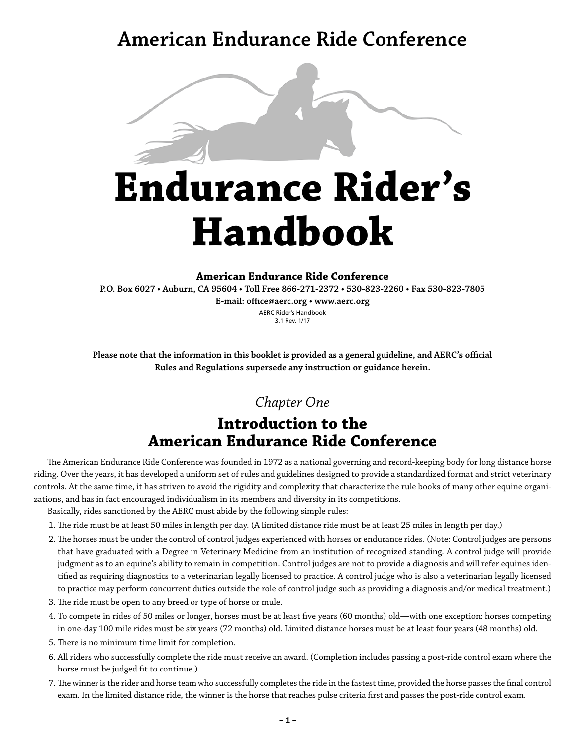# **American Endurance Ride Conference**



### **American Endurance Ride Conference**

**P.O. Box 6027 • Auburn, CA 95604 • Toll Free 866-271-2372 • 530-823-2260 • Fax 530-823-7805**

**E-mail: office@aerc.org • www.aerc.org** AERC Rider's Handbook

3.1 Rev. 1/17

**Please note that the information in this booklet is provided as a general guideline, and AERC's official Rules and Regulations supersede any instruction or guidance herein.** 

*Chapter One*

### **Introduction to the American Endurance Ride Conference**

The American Endurance Ride Conference was founded in 1972 as a national governing and record-keeping body for long distance horse riding. Over the years, it has developed a uniform set of rules and guidelines designed to provide a standardized format and strict veterinary controls. At the same time, it has striven to avoid the rigidity and complexity that characterize the rule books of many other equine organizations, and has in fact encouraged individualism in its members and diversity in its competitions.

Basically, rides sanctioned by the AERC must abide by the following simple rules:

1. The ride must be at least 50 miles in length per day. (A limited distance ride must be at least 25 miles in length per day.)

- 2. The horses must be under the control of control judges experienced with horses or endurance rides. (Note: Control judges are persons that have graduated with a Degree in Veterinary Medicine from an institution of recognized standing. A control judge will provide judgment as to an equine's ability to remain in competition. Control judges are not to provide a diagnosis and will refer equines identified as requiring diagnostics to a veterinarian legally licensed to practice. A control judge who is also a veterinarian legally licensed to practice may perform concurrent duties outside the role of control judge such as providing a diagnosis and/or medical treatment.)
- 3. The ride must be open to any breed or type of horse or mule.
- 4. To compete in rides of 50 miles or longer, horses must be at least five years (60 months) old—with one exception: horses competing in one-day 100 mile rides must be six years (72 months) old. Limited distance horses must be at least four years (48 months) old.
- 5. There is no minimum time limit for completion.
- 6. All riders who successfully complete the ride must receive an award. (Completion includes passing a post-ride control exam where the horse must be judged fit to continue.)
- 7. The winner is the rider and horse team who successfully completes the ride in the fastest time, provided the horse passes the final control exam. In the limited distance ride, the winner is the horse that reaches pulse criteria first and passes the post-ride control exam.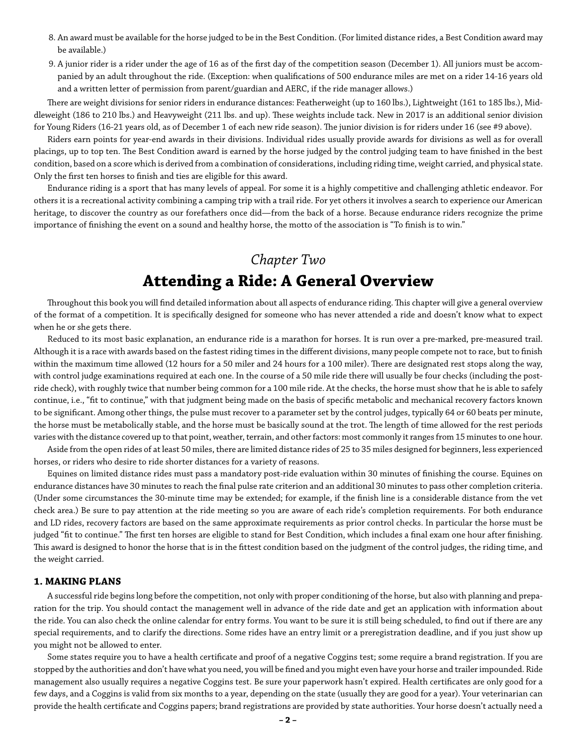- 8. An award must be available for the horse judged to be in the Best Condition. (For limited distance rides, a Best Condition award may be available.)
- 9. A junior rider is a rider under the age of 16 as of the first day of the competition season (December 1). All juniors must be accompanied by an adult throughout the ride. (Exception: when qualifications of 500 endurance miles are met on a rider 14-16 years old and a written letter of permission from parent/guardian and AERC, if the ride manager allows.)

There are weight divisions for senior riders in endurance distances: Featherweight (up to 160 lbs.), Lightweight (161 to 185 lbs.), Middleweight (186 to 210 lbs.) and Heavyweight (211 lbs. and up). These weights include tack. New in 2017 is an additional senior division for Young Riders (16-21 years old, as of December 1 of each new ride season). The junior division is for riders under 16 (see #9 above).

Riders earn points for year-end awards in their divisions. Individual rides usually provide awards for divisions as well as for overall placings, up to top ten. The Best Condition award is earned by the horse judged by the control judging team to have finished in the best condition, based on a score which is derived from a combination of considerations, including riding time, weight carried, and physical state. Only the first ten horses to finish and ties are eligible for this award.

Endurance riding is a sport that has many levels of appeal. For some it is a highly competitive and challenging athletic endeavor. For others it is a recreational activity combining a camping trip with a trail ride. For yet others it involves a search to experience our American heritage, to discover the country as our forefathers once did—from the back of a horse. Because endurance riders recognize the prime importance of finishing the event on a sound and healthy horse, the motto of the association is "To finish is to win."

### *Chapter Two* **Attending a Ride: A General Overview**

Throughout this book you will find detailed information about all aspects of endurance riding. This chapter will give a general overview of the format of a competition. It is specifically designed for someone who has never attended a ride and doesn't know what to expect when he or she gets there.

Reduced to its most basic explanation, an endurance ride is a marathon for horses. It is run over a pre-marked, pre-measured trail. Although it is a race with awards based on the fastest riding times in the different divisions, many people compete not to race, but to finish within the maximum time allowed (12 hours for a 50 miler and 24 hours for a 100 miler). There are designated rest stops along the way, with control judge examinations required at each one. In the course of a 50 mile ride there will usually be four checks (including the postride check), with roughly twice that number being common for a 100 mile ride. At the checks, the horse must show that he is able to safely continue, i.e., "fit to continue," with that judgment being made on the basis of specific metabolic and mechanical recovery factors known to be significant. Among other things, the pulse must recover to a parameter set by the control judges, typically 64 or 60 beats per minute, the horse must be metabolically stable, and the horse must be basically sound at the trot. The length of time allowed for the rest periods varies with the distance covered up to that point, weather, terrain, and other factors: most commonly it ranges from 15 minutes to one hour.

Aside from the open rides of at least 50 miles, there are limited distance rides of 25 to 35 miles designed for beginners, less experienced horses, or riders who desire to ride shorter distances for a variety of reasons.

Equines on limited distance rides must pass a mandatory post-ride evaluation within 30 minutes of finishing the course. Equines on endurance distances have 30 minutes to reach the final pulse rate criterion and an additional 30 minutes to pass other completion criteria. (Under some circumstances the 30-minute time may be extended; for example, if the finish line is a considerable distance from the vet check area.) Be sure to pay attention at the ride meeting so you are aware of each ride's completion requirements. For both endurance and LD rides, recovery factors are based on the same approximate requirements as prior control checks. In particular the horse must be judged "fit to continue." The first ten horses are eligible to stand for Best Condition, which includes a final exam one hour after finishing. This award is designed to honor the horse that is in the fittest condition based on the judgment of the control judges, the riding time, and the weight carried.

### **1. MAKING PLANS**

A successful ride begins long before the competition, not only with proper conditioning of the horse, but also with planning and preparation for the trip. You should contact the management well in advance of the ride date and get an application with information about the ride. You can also check the online calendar for entry forms. You want to be sure it is still being scheduled, to find out if there are any special requirements, and to clarify the directions. Some rides have an entry limit or a preregistration deadline, and if you just show up you might not be allowed to enter.

Some states require you to have a health certificate and proof of a negative Coggins test; some require a brand registration. If you are stopped by the authorities and don't have what you need, you will be fined and you might even have your horse and trailer impounded. Ride management also usually requires a negative Coggins test. Be sure your paperwork hasn't expired. Health certificates are only good for a few days, and a Coggins is valid from six months to a year, depending on the state (usually they are good for a year). Your veterinarian can provide the health certificate and Coggins papers; brand registrations are provided by state authorities. Your horse doesn't actually need a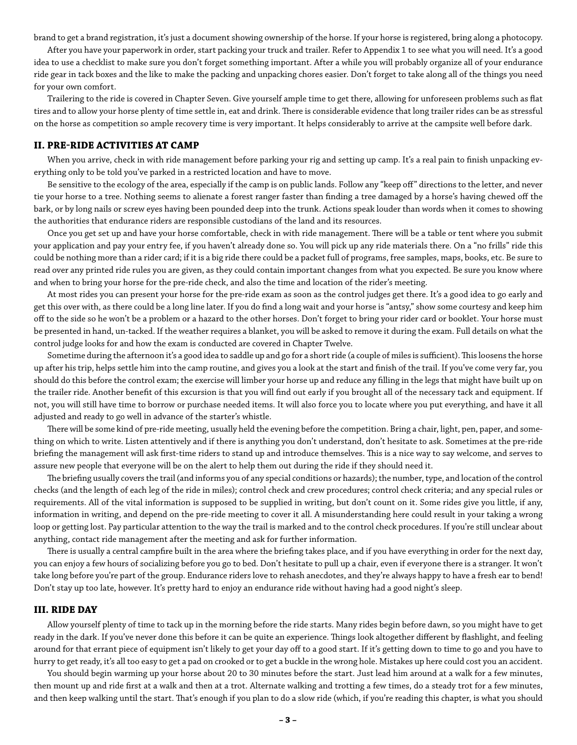brand to get a brand registration, it's just a document showing ownership of the horse. If your horse is registered, bring along a photocopy.

After you have your paperwork in order, start packing your truck and trailer. Refer to Appendix 1 to see what you will need. It's a good idea to use a checklist to make sure you don't forget something important. After a while you will probably organize all of your endurance ride gear in tack boxes and the like to make the packing and unpacking chores easier. Don't forget to take along all of the things you need for your own comfort.

Trailering to the ride is covered in Chapter Seven. Give yourself ample time to get there, allowing for unforeseen problems such as flat tires and to allow your horse plenty of time settle in, eat and drink. There is considerable evidence that long trailer rides can be as stressful on the horse as competition so ample recovery time is very important. It helps considerably to arrive at the campsite well before dark.

### **II. PRE-RIDE ACTIVITIES AT CAMP**

When you arrive, check in with ride management before parking your rig and setting up camp. It's a real pain to finish unpacking everything only to be told you've parked in a restricted location and have to move.

Be sensitive to the ecology of the area, especially if the camp is on public lands. Follow any "keep off" directions to the letter, and never tie your horse to a tree. Nothing seems to alienate a forest ranger faster than finding a tree damaged by a horse's having chewed off the bark, or by long nails or screw eyes having been pounded deep into the trunk. Actions speak louder than words when it comes to showing the authorities that endurance riders are responsible custodians of the land and its resources.

Once you get set up and have your horse comfortable, check in with ride management. There will be a table or tent where you submit your application and pay your entry fee, if you haven't already done so. You will pick up any ride materials there. On a "no frills" ride this could be nothing more than a rider card; if it is a big ride there could be a packet full of programs, free samples, maps, books, etc. Be sure to read over any printed ride rules you are given, as they could contain important changes from what you expected. Be sure you know where and when to bring your horse for the pre-ride check, and also the time and location of the rider's meeting.

At most rides you can present your horse for the pre-ride exam as soon as the control judges get there. It's a good idea to go early and get this over with, as there could be a long line later. If you do find a long wait and your horse is "antsy," show some courtesy and keep him off to the side so he won't be a problem or a hazard to the other horses. Don't forget to bring your rider card or booklet. Your horse must be presented in hand, un-tacked. If the weather requires a blanket, you will be asked to remove it during the exam. Full details on what the control judge looks for and how the exam is conducted are covered in Chapter Twelve.

Sometime during the afternoon it's a good idea to saddle up and go for a short ride (a couple of miles is sufficient). This loosens the horse up after his trip, helps settle him into the camp routine, and gives you a look at the start and finish of the trail. If you've come very far, you should do this before the control exam; the exercise will limber your horse up and reduce any filling in the legs that might have built up on the trailer ride. Another benefit of this excursion is that you will find out early if you brought all of the necessary tack and equipment. If not, you will still have time to borrow or purchase needed items. It will also force you to locate where you put everything, and have it all adjusted and ready to go well in advance of the starter's whistle.

There will be some kind of pre-ride meeting, usually held the evening before the competition. Bring a chair, light, pen, paper, and something on which to write. Listen attentively and if there is anything you don't understand, don't hesitate to ask. Sometimes at the pre-ride briefing the management will ask first-time riders to stand up and introduce themselves. This is a nice way to say welcome, and serves to assure new people that everyone will be on the alert to help them out during the ride if they should need it.

The briefing usually covers the trail (and informs you of any special conditions or hazards); the number, type, and location of the control checks (and the length of each leg of the ride in miles); control check and crew procedures; control check criteria; and any special rules or requirements. All of the vital information is supposed to be supplied in writing, but don't count on it. Some rides give you little, if any, information in writing, and depend on the pre-ride meeting to cover it all. A misunderstanding here could result in your taking a wrong loop or getting lost. Pay particular attention to the way the trail is marked and to the control check procedures. If you're still unclear about anything, contact ride management after the meeting and ask for further information.

There is usually a central campfire built in the area where the briefing takes place, and if you have everything in order for the next day, you can enjoy a few hours of socializing before you go to bed. Don't hesitate to pull up a chair, even if everyone there is a stranger. It won't take long before you're part of the group. Endurance riders love to rehash anecdotes, and they're always happy to have a fresh ear to bend! Don't stay up too late, however. It's pretty hard to enjoy an endurance ride without having had a good night's sleep.

### **III. RIDE DAY**

Allow yourself plenty of time to tack up in the morning before the ride starts. Many rides begin before dawn, so you might have to get ready in the dark. If you've never done this before it can be quite an experience. Things look altogether different by flashlight, and feeling around for that errant piece of equipment isn't likely to get your day off to a good start. If it's getting down to time to go and you have to hurry to get ready, it's all too easy to get a pad on crooked or to get a buckle in the wrong hole. Mistakes up here could cost you an accident.

You should begin warming up your horse about 20 to 30 minutes before the start. Just lead him around at a walk for a few minutes, then mount up and ride first at a walk and then at a trot. Alternate walking and trotting a few times, do a steady trot for a few minutes, and then keep walking until the start. That's enough if you plan to do a slow ride (which, if you're reading this chapter, is what you should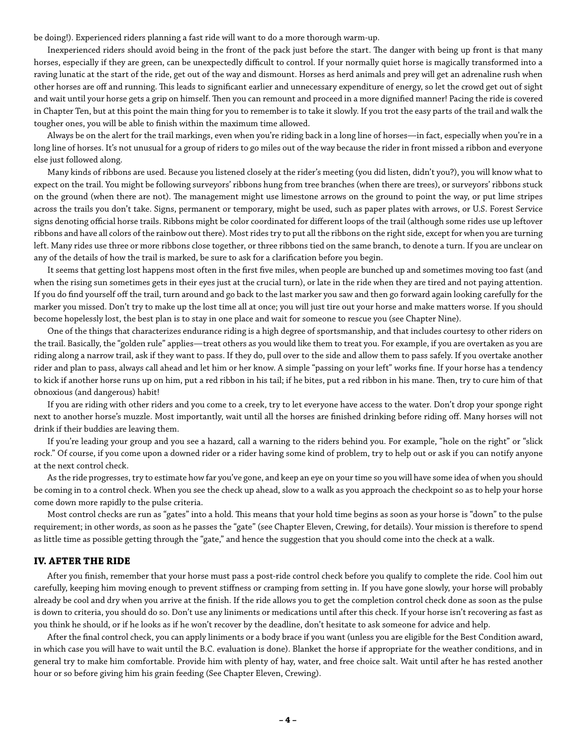be doing!). Experienced riders planning a fast ride will want to do a more thorough warm-up.

Inexperienced riders should avoid being in the front of the pack just before the start. The danger with being up front is that many horses, especially if they are green, can be unexpectedly difficult to control. If your normally quiet horse is magically transformed into a raving lunatic at the start of the ride, get out of the way and dismount. Horses as herd animals and prey will get an adrenaline rush when other horses are off and running. This leads to significant earlier and unnecessary expenditure of energy, so let the crowd get out of sight and wait until your horse gets a grip on himself. Then you can remount and proceed in a more dignified manner! Pacing the ride is covered in Chapter Ten, but at this point the main thing for you to remember is to take it slowly. If you trot the easy parts of the trail and walk the tougher ones, you will be able to finish within the maximum time allowed.

Always be on the alert for the trail markings, even when you're riding back in a long line of horses—in fact, especially when you're in a long line of horses. It's not unusual for a group of riders to go miles out of the way because the rider in front missed a ribbon and everyone else just followed along.

Many kinds of ribbons are used. Because you listened closely at the rider's meeting (you did listen, didn't you?), you will know what to expect on the trail. You might be following surveyors' ribbons hung from tree branches (when there are trees), or surveyors' ribbons stuck on the ground (when there are not). The management might use limestone arrows on the ground to point the way, or put lime stripes across the trails you don't take. Signs, permanent or temporary, might be used, such as paper plates with arrows, or U.S. Forest Service signs denoting official horse trails. Ribbons might be color coordinated for different loops of the trail (although some rides use up leftover ribbons and have all colors of the rainbow out there). Most rides try to put all the ribbons on the right side, except for when you are turning left. Many rides use three or more ribbons close together, or three ribbons tied on the same branch, to denote a turn. If you are unclear on any of the details of how the trail is marked, be sure to ask for a clarification before you begin.

It seems that getting lost happens most often in the first five miles, when people are bunched up and sometimes moving too fast (and when the rising sun sometimes gets in their eyes just at the crucial turn), or late in the ride when they are tired and not paying attention. If you do find yourself off the trail, turn around and go back to the last marker you saw and then go forward again looking carefully for the marker you missed. Don't try to make up the lost time all at once; you will just tire out your horse and make matters worse. If you should become hopelessly lost, the best plan is to stay in one place and wait for someone to rescue you (see Chapter Nine).

One of the things that characterizes endurance riding is a high degree of sportsmanship, and that includes courtesy to other riders on the trail. Basically, the "golden rule" applies—treat others as you would like them to treat you. For example, if you are overtaken as you are riding along a narrow trail, ask if they want to pass. If they do, pull over to the side and allow them to pass safely. If you overtake another rider and plan to pass, always call ahead and let him or her know. A simple "passing on your left" works fine. If your horse has a tendency to kick if another horse runs up on him, put a red ribbon in his tail; if he bites, put a red ribbon in his mane. Then, try to cure him of that obnoxious (and dangerous) habit!

If you are riding with other riders and you come to a creek, try to let everyone have access to the water. Don't drop your sponge right next to another horse's muzzle. Most importantly, wait until all the horses are finished drinking before riding off. Many horses will not drink if their buddies are leaving them.

If you're leading your group and you see a hazard, call a warning to the riders behind you. For example, "hole on the right" or "slick rock." Of course, if you come upon a downed rider or a rider having some kind of problem, try to help out or ask if you can notify anyone at the next control check.

As the ride progresses, try to estimate how far you've gone, and keep an eye on your time so you will have some idea of when you should be coming in to a control check. When you see the check up ahead, slow to a walk as you approach the checkpoint so as to help your horse come down more rapidly to the pulse criteria.

Most control checks are run as "gates" into a hold. This means that your hold time begins as soon as your horse is "down" to the pulse requirement; in other words, as soon as he passes the "gate" (see Chapter Eleven, Crewing, for details). Your mission is therefore to spend as little time as possible getting through the "gate," and hence the suggestion that you should come into the check at a walk.

#### **IV. AFTER THE RIDE**

After you finish, remember that your horse must pass a post-ride control check before you qualify to complete the ride. Cool him out carefully, keeping him moving enough to prevent stiffness or cramping from setting in. If you have gone slowly, your horse will probably already be cool and dry when you arrive at the finish. If the ride allows you to get the completion control check done as soon as the pulse is down to criteria, you should do so. Don't use any liniments or medications until after this check. If your horse isn't recovering as fast as you think he should, or if he looks as if he won't recover by the deadline, don't hesitate to ask someone for advice and help.

After the final control check, you can apply liniments or a body brace if you want (unless you are eligible for the Best Condition award, in which case you will have to wait until the B.C. evaluation is done). Blanket the horse if appropriate for the weather conditions, and in general try to make him comfortable. Provide him with plenty of hay, water, and free choice salt. Wait until after he has rested another hour or so before giving him his grain feeding (See Chapter Eleven, Crewing).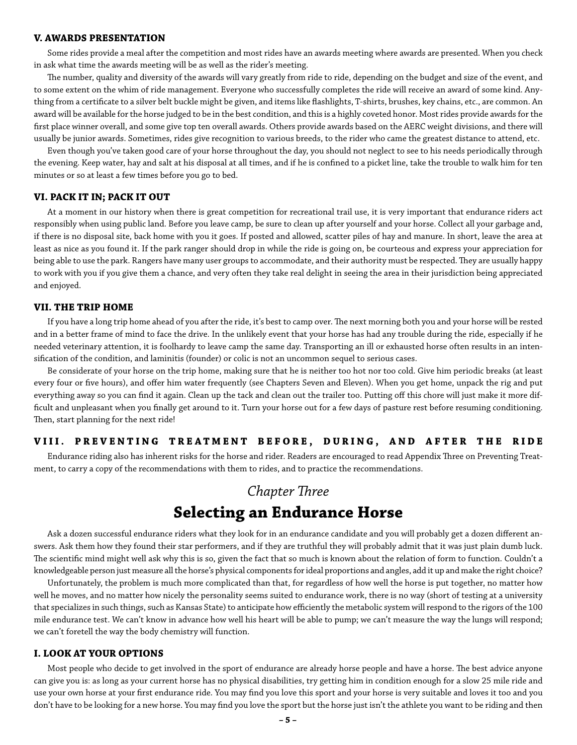### **V. AWARDS PRESENTATION**

Some rides provide a meal after the competition and most rides have an awards meeting where awards are presented. When you check in ask what time the awards meeting will be as well as the rider's meeting.

The number, quality and diversity of the awards will vary greatly from ride to ride, depending on the budget and size of the event, and to some extent on the whim of ride management. Everyone who successfully completes the ride will receive an award of some kind. Anything from a certificate to a silver belt buckle might be given, and items like flashlights, T-shirts, brushes, key chains, etc., are common. An award will be available for the horse judged to be in the best condition, and this is a highly coveted honor. Most rides provide awards for the first place winner overall, and some give top ten overall awards. Others provide awards based on the AERC weight divisions, and there will usually be junior awards. Sometimes, rides give recognition to various breeds, to the rider who came the greatest distance to attend, etc.

Even though you've taken good care of your horse throughout the day, you should not neglect to see to his needs periodically through the evening. Keep water, hay and salt at his disposal at all times, and if he is confined to a picket line, take the trouble to walk him for ten minutes or so at least a few times before you go to bed.

### **VI. PACK IT IN; PACK IT OUT**

At a moment in our history when there is great competition for recreational trail use, it is very important that endurance riders act responsibly when using public land. Before you leave camp, be sure to clean up after yourself and your horse. Collect all your garbage and, if there is no disposal site, back home with you it goes. If posted and allowed, scatter piles of hay and manure. In short, leave the area at least as nice as you found it. If the park ranger should drop in while the ride is going on, be courteous and express your appreciation for being able to use the park. Rangers have many user groups to accommodate, and their authority must be respected. They are usually happy to work with you if you give them a chance, and very often they take real delight in seeing the area in their jurisdiction being appreciated and enjoyed.

### **VII. THE TRIP HOME**

If you have a long trip home ahead of you after the ride, it's best to camp over. The next morning both you and your horse will be rested and in a better frame of mind to face the drive. In the unlikely event that your horse has had any trouble during the ride, especially if he needed veterinary attention, it is foolhardy to leave camp the same day. Transporting an ill or exhausted horse often results in an intensification of the condition, and laminitis (founder) or colic is not an uncommon sequel to serious cases.

Be considerate of your horse on the trip home, making sure that he is neither too hot nor too cold. Give him periodic breaks (at least every four or five hours), and offer him water frequently (see Chapters Seven and Eleven). When you get home, unpack the rig and put everything away so you can find it again. Clean up the tack and clean out the trailer too. Putting off this chore will just make it more difficult and unpleasant when you finally get around to it. Turn your horse out for a few days of pasture rest before resuming conditioning. Then, start planning for the next ride!

### **VIII. PREVENTING TREATMENT BEFORE, DURING, AND AFTER THE RIDE**

Endurance riding also has inherent risks for the horse and rider. Readers are encouraged to read Appendix Three on Preventing Treatment, to carry a copy of the recommendations with them to rides, and to practice the recommendations.

### *Chapter Three* **Selecting an Endurance Horse**

Ask a dozen successful endurance riders what they look for in an endurance candidate and you will probably get a dozen different answers. Ask them how they found their star performers, and if they are truthful they will probably admit that it was just plain dumb luck. The scientific mind might well ask why this is so, given the fact that so much is known about the relation of form to function. Couldn't a knowledgeable person just measure all the horse's physical components for ideal proportions and angles, add it up and make the right choice?

Unfortunately, the problem is much more complicated than that, for regardless of how well the horse is put together, no matter how well he moves, and no matter how nicely the personality seems suited to endurance work, there is no way (short of testing at a university that specializes in such things, such as Kansas State) to anticipate how efficiently the metabolic system will respond to the rigors of the 100 mile endurance test. We can't know in advance how well his heart will be able to pump; we can't measure the way the lungs will respond; we can't foretell the way the body chemistry will function.

### **I. LOOK AT YOUR OPTIONS**

Most people who decide to get involved in the sport of endurance are already horse people and have a horse. The best advice anyone can give you is: as long as your current horse has no physical disabilities, try getting him in condition enough for a slow 25 mile ride and use your own horse at your first endurance ride. You may find you love this sport and your horse is very suitable and loves it too and you don't have to be looking for a new horse. You may find you love the sport but the horse just isn't the athlete you want to be riding and then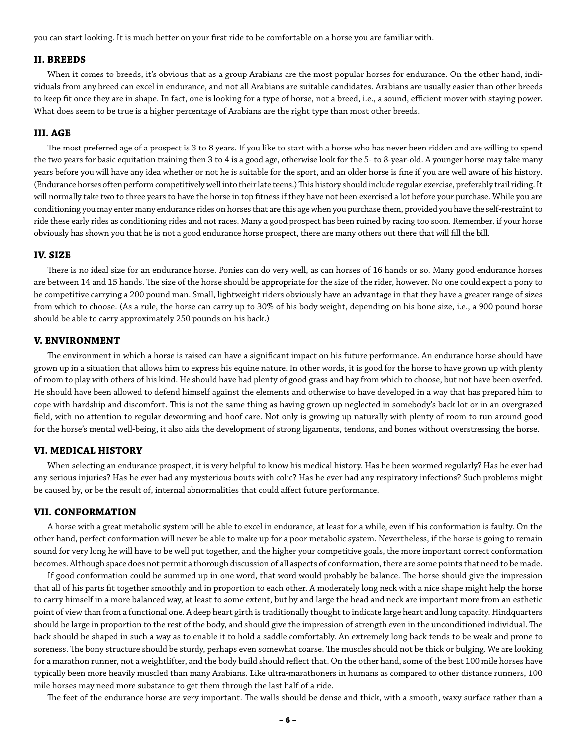you can start looking. It is much better on your first ride to be comfortable on a horse you are familiar with.

#### **II. BREEDS**

When it comes to breeds, it's obvious that as a group Arabians are the most popular horses for endurance. On the other hand, individuals from any breed can excel in endurance, and not all Arabians are suitable candidates. Arabians are usually easier than other breeds to keep fit once they are in shape. In fact, one is looking for a type of horse, not a breed, i.e., a sound, efficient mover with staying power. What does seem to be true is a higher percentage of Arabians are the right type than most other breeds.

### **III. AGE**

The most preferred age of a prospect is 3 to 8 years. If you like to start with a horse who has never been ridden and are willing to spend the two years for basic equitation training then 3 to 4 is a good age, otherwise look for the 5- to 8-year-old. A younger horse may take many years before you will have any idea whether or not he is suitable for the sport, and an older horse is fine if you are well aware of his history. (Endurance horses often perform competitively well into their late teens.) This history should include regular exercise, preferably trail riding. It will normally take two to three years to have the horse in top fitness if they have not been exercised a lot before your purchase. While you are conditioning you may enter many endurance rides on horses that are this age when you purchase them, provided you have the self-restraint to ride these early rides as conditioning rides and not races. Many a good prospect has been ruined by racing too soon. Remember, if your horse obviously has shown you that he is not a good endurance horse prospect, there are many others out there that will fill the bill.

### **IV. SIZE**

There is no ideal size for an endurance horse. Ponies can do very well, as can horses of 16 hands or so. Many good endurance horses are between 14 and 15 hands. The size of the horse should be appropriate for the size of the rider, however. No one could expect a pony to be competitive carrying a 200 pound man. Small, lightweight riders obviously have an advantage in that they have a greater range of sizes from which to choose. (As a rule, the horse can carry up to 30% of his body weight, depending on his bone size, i.e., a 900 pound horse should be able to carry approximately 250 pounds on his back.)

### **V. ENVIRONMENT**

The environment in which a horse is raised can have a significant impact on his future performance. An endurance horse should have grown up in a situation that allows him to express his equine nature. In other words, it is good for the horse to have grown up with plenty of room to play with others of his kind. He should have had plenty of good grass and hay from which to choose, but not have been overfed. He should have been allowed to defend himself against the elements and otherwise to have developed in a way that has prepared him to cope with hardship and discomfort. This is not the same thing as having grown up neglected in somebody's back lot or in an overgrazed field, with no attention to regular deworming and hoof care. Not only is growing up naturally with plenty of room to run around good for the horse's mental well-being, it also aids the development of strong ligaments, tendons, and bones without overstressing the horse.

### **VI. MEDICAL HISTORY**

When selecting an endurance prospect, it is very helpful to know his medical history. Has he been wormed regularly? Has he ever had any serious injuries? Has he ever had any mysterious bouts with colic? Has he ever had any respiratory infections? Such problems might be caused by, or be the result of, internal abnormalities that could affect future performance.

#### **VII. CONFORMATION**

A horse with a great metabolic system will be able to excel in endurance, at least for a while, even if his conformation is faulty. On the other hand, perfect conformation will never be able to make up for a poor metabolic system. Nevertheless, if the horse is going to remain sound for very long he will have to be well put together, and the higher your competitive goals, the more important correct conformation becomes. Although space does not permit a thorough discussion of all aspects of conformation, there are some points that need to be made.

If good conformation could be summed up in one word, that word would probably be balance. The horse should give the impression that all of his parts fit together smoothly and in proportion to each other. A moderately long neck with a nice shape might help the horse to carry himself in a more balanced way, at least to some extent, but by and large the head and neck are important more from an esthetic point of view than from a functional one. A deep heart girth is traditionally thought to indicate large heart and lung capacity. Hindquarters should be large in proportion to the rest of the body, and should give the impression of strength even in the unconditioned individual. The back should be shaped in such a way as to enable it to hold a saddle comfortably. An extremely long back tends to be weak and prone to soreness. The bony structure should be sturdy, perhaps even somewhat coarse. The muscles should not be thick or bulging. We are looking for a marathon runner, not a weightlifter, and the body build should reflect that. On the other hand, some of the best 100 mile horses have typically been more heavily muscled than many Arabians. Like ultra-marathoners in humans as compared to other distance runners, 100 mile horses may need more substance to get them through the last half of a ride.

The feet of the endurance horse are very important. The walls should be dense and thick, with a smooth, waxy surface rather than a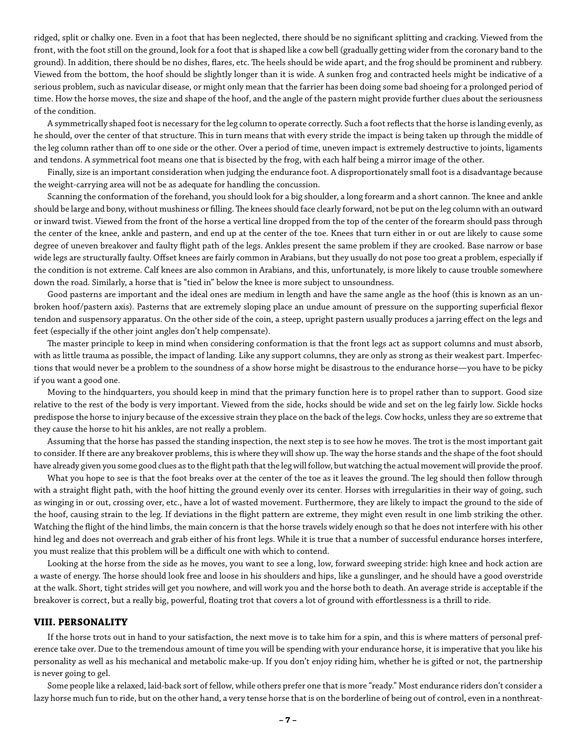ridged, split or chalky one. Even in a foot that has been neglected, there should be no significant splitting and cracking. Viewed from the front, with the foot still on the ground, look for a foot that is shaped like a cow bell (gradually getting wider from the coronary band to the ground). In addition, there should be no dishes, flares, etc. The heels should be wide apart, and the frog should be prominent and rubbery. Viewed from the bottom, the hoof should be slightly longer than it is wide. A sunken frog and contracted heels might be indicative of a serious problem, such as navicular disease, or might only mean that the farrier has been doing some bad shoeing for a prolonged period of time. How the horse moves, the size and shape of the hoof, and the angle of the pastern might provide further clues about the seriousness of the condition.

A symmetrically shaped foot is necessary for the leg column to operate correctly. Such a foot reflects that the horse is landing evenly, as he should, over the center of that structure. This in turn means that with every stride the impact is being taken up through the middle of the leg column rather than off to one side or the other. Over a period of time, uneven impact is extremely destructive to joints, ligaments and tendons. A symmetrical foot means one that is bisected by the frog, with each half being a mirror image of the other.

Finally, size is an important consideration when judging the endurance foot. A disproportionately small foot is a disadvantage because the weight-carrying area will not be as adequate for handling the concussion.

Scanning the conformation of the forehand, you should look for a big shoulder, a long forearm and a short cannon. The knee and ankle should be large and bony, without mushiness or filling. The knees should face clearly forward, not be put on the leg column with an outward or inward twist. Viewed from the front of the horse a vertical line dropped from the top of the center of the forearm should pass through the center of the knee, ankle and pastern, and end up at the center of the toe. Knees that turn either in or out are likely to cause some degree of uneven breakover and faulty flight path of the legs. Ankles present the same problem if they are crooked. Base narrow or base wide legs are structurally faulty. Offset knees are fairly common in Arabians, but they usually do not pose too great a problem, especially if the condition is not extreme. Calf knees are also common in Arabians, and this, unfortunately, is more likely to cause trouble somewhere down the road. Similarly, a horse that is "tied in" below the knee is more subject to unsoundness.

Good pasterns are important and the ideal ones are medium in length and have the same angle as the hoof (this is known as an unbroken hoof/pastern axis). Pasterns that are extremely sloping place an undue amount of pressure on the supporting superficial flexor tendon and suspensory apparatus. On the other side of the coin, a steep, upright pastern usually produces a jarring effect on the legs and feet (especially if the other joint angles don't help compensate).

The master principle to keep in mind when considering conformation is that the front legs act as support columns and must absorb, with as little trauma as possible, the impact of landing. Like any support columns, they are only as strong as their weakest part. Imperfections that would never be a problem to the soundness of a show horse might be disastrous to the endurance horse—you have to be picky if you want a good one.

Moving to the hindquarters, you should keep in mind that the primary function here is to propel rather than to support. Good size relative to the rest of the body is very important. Viewed from the side, hocks should be wide and set on the leg fairly low. Sickle hocks predispose the horse to injury because of the excessive strain they place on the back of the legs. Cow hocks, unless they are so extreme that they cause the horse to hit his ankles, are not really a problem.

Assuming that the horse has passed the standing inspection, the next step is to see how he moves. The trot is the most important gait to consider. If there are any breakover problems, this is where they will show up. The way the horse stands and the shape of the foot should have already given you some good clues as to the flight path that the leg will follow, but watching the actual movement will provide the proof.

What you hope to see is that the foot breaks over at the center of the toe as it leaves the ground. The leg should then follow through with a straight flight path, with the hoof hitting the ground evenly over its center. Horses with irregularities in their way of going, such as winging in or out, crossing over, etc., have a lot of wasted movement. Furthermore, they are likely to impact the ground to the side of the hoof, causing strain to the leg. If deviations in the flight pattern are extreme, they might even result in one limb striking the other. Watching the flight of the hind limbs, the main concern is that the horse travels widely enough so that he does not interfere with his other hind leg and does not overreach and grab either of his front legs. While it is true that a number of successful endurance horses interfere, you must realize that this problem will be a difficult one with which to contend.

Looking at the horse from the side as he moves, you want to see a long, low, forward sweeping stride: high knee and hock action are a waste of energy. The horse should look free and loose in his shoulders and hips, like a gunslinger, and he should have a good overstride at the walk. Short, tight strides will get you nowhere, and will work you and the horse both to death. An average stride is acceptable if the breakover is correct, but a really big, powerful, floating trot that covers a lot of ground with effortlessness is a thrill to ride.

### **VIII. PERSONALITY**

If the horse trots out in hand to your satisfaction, the next move is to take him for a spin, and this is where matters of personal preference take over. Due to the tremendous amount of time you will be spending with your endurance horse, it is imperative that you like his personality as well as his mechanical and metabolic make-up. If you don't enjoy riding him, whether he is gifted or not, the partnership is never going to gel.

Some people like a relaxed, laid-back sort of fellow, while others prefer one that is more "ready." Most endurance riders don't consider a lazy horse much fun to ride, but on the other hand, a very tense horse that is on the borderline of being out of control, even in a nonthreat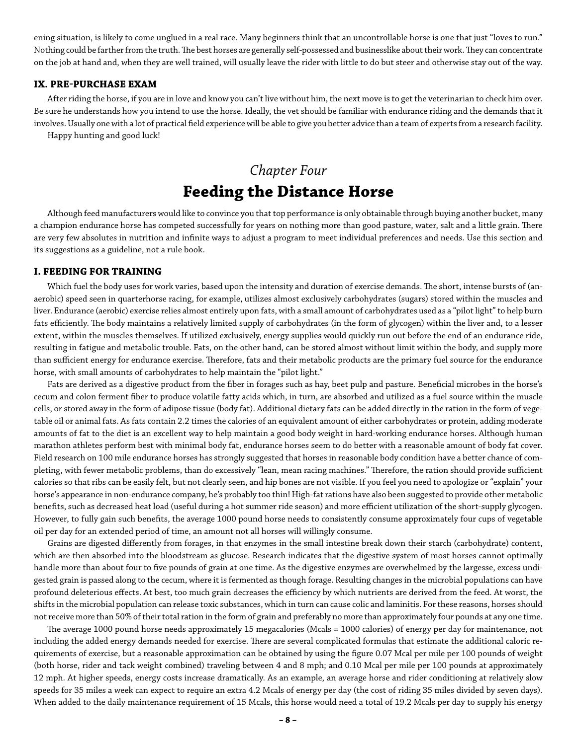ening situation, is likely to come unglued in a real race. Many beginners think that an uncontrollable horse is one that just "loves to run." Nothing could be farther from the truth. The best horses are generally self-possessed and businesslike about their work. They can concentrate on the job at hand and, when they are well trained, will usually leave the rider with little to do but steer and otherwise stay out of the way.

#### **IX. PRE-PURCHASE EXAM**

After riding the horse, if you are in love and know you can't live without him, the next move is to get the veterinarian to check him over. Be sure he understands how you intend to use the horse. Ideally, the vet should be familiar with endurance riding and the demands that it involves. Usually one with a lot of practical field experience will be able to give you better advice than a team of experts from a research facility.

Happy hunting and good luck!

### *Chapter Four* **Feeding the Distance Horse**

Although feed manufacturers would like to convince you that top performance is only obtainable through buying another bucket, many a champion endurance horse has competed successfully for years on nothing more than good pasture, water, salt and a little grain. There are very few absolutes in nutrition and infinite ways to adjust a program to meet individual preferences and needs. Use this section and its suggestions as a guideline, not a rule book.

### **I. FEEDING FOR TRAINING**

Which fuel the body uses for work varies, based upon the intensity and duration of exercise demands. The short, intense bursts of (anaerobic) speed seen in quarterhorse racing, for example, utilizes almost exclusively carbohydrates (sugars) stored within the muscles and liver. Endurance (aerobic) exercise relies almost entirely upon fats, with a small amount of carbohydrates used as a "pilot light" to help burn fats efficiently. The body maintains a relatively limited supply of carbohydrates (in the form of glycogen) within the liver and, to a lesser extent, within the muscles themselves. If utilized exclusively, energy supplies would quickly run out before the end of an endurance ride, resulting in fatigue and metabolic trouble. Fats, on the other hand, can be stored almost without limit within the body, and supply more than sufficient energy for endurance exercise. Therefore, fats and their metabolic products are the primary fuel source for the endurance horse, with small amounts of carbohydrates to help maintain the "pilot light."

Fats are derived as a digestive product from the fiber in forages such as hay, beet pulp and pasture. Beneficial microbes in the horse's cecum and colon ferment fiber to produce volatile fatty acids which, in turn, are absorbed and utilized as a fuel source within the muscle cells, or stored away in the form of adipose tissue (body fat). Additional dietary fats can be added directly in the ration in the form of vegetable oil or animal fats. As fats contain 2.2 times the calories of an equivalent amount of either carbohydrates or protein, adding moderate amounts of fat to the diet is an excellent way to help maintain a good body weight in hard-working endurance horses. Although human marathon athletes perform best with minimal body fat, endurance horses seem to do better with a reasonable amount of body fat cover. Field research on 100 mile endurance horses has strongly suggested that horses in reasonable body condition have a better chance of completing, with fewer metabolic problems, than do excessively "lean, mean racing machines." Therefore, the ration should provide sufficient calories so that ribs can be easily felt, but not clearly seen, and hip bones are not visible. If you feel you need to apologize or "explain" your horse's appearance in non-endurance company, he's probably too thin! High-fat rations have also been suggested to provide other metabolic benefits, such as decreased heat load (useful during a hot summer ride season) and more efficient utilization of the short-supply glycogen. However, to fully gain such benefits, the average 1000 pound horse needs to consistently consume approximately four cups of vegetable oil per day for an extended period of time, an amount not all horses will willingly consume.

Grains are digested differently from forages, in that enzymes in the small intestine break down their starch (carbohydrate) content, which are then absorbed into the bloodstream as glucose. Research indicates that the digestive system of most horses cannot optimally handle more than about four to five pounds of grain at one time. As the digestive enzymes are overwhelmed by the largesse, excess undigested grain is passed along to the cecum, where it is fermented as though forage. Resulting changes in the microbial populations can have profound deleterious effects. At best, too much grain decreases the efficiency by which nutrients are derived from the feed. At worst, the shifts in the microbial population can release toxic substances, which in turn can cause colic and laminitis. For these reasons, horses should not receive more than 50% of their total ration in the form of grain and preferably no more than approximately four pounds at any one time.

The average 1000 pound horse needs approximately 15 megacalories (Mcals = 1000 calories) of energy per day for maintenance, not including the added energy demands needed for exercise. There are several complicated formulas that estimate the additional caloric requirements of exercise, but a reasonable approximation can be obtained by using the figure 0.07 Mcal per mile per 100 pounds of weight (both horse, rider and tack weight combined) traveling between 4 and 8 mph; and 0.10 Mcal per mile per 100 pounds at approximately 12 mph. At higher speeds, energy costs increase dramatically. As an example, an average horse and rider conditioning at relatively slow speeds for 35 miles a week can expect to require an extra 4.2 Mcals of energy per day (the cost of riding 35 miles divided by seven days). When added to the daily maintenance requirement of 15 Mcals, this horse would need a total of 19.2 Mcals per day to supply his energy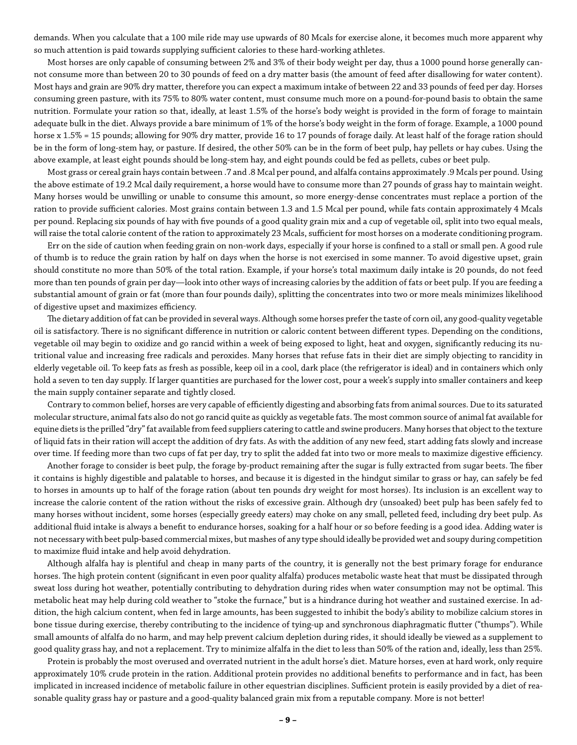demands. When you calculate that a 100 mile ride may use upwards of 80 Mcals for exercise alone, it becomes much more apparent why so much attention is paid towards supplying sufficient calories to these hard-working athletes.

Most horses are only capable of consuming between 2% and 3% of their body weight per day, thus a 1000 pound horse generally cannot consume more than between 20 to 30 pounds of feed on a dry matter basis (the amount of feed after disallowing for water content). Most hays and grain are 90% dry matter, therefore you can expect a maximum intake of between 22 and 33 pounds of feed per day. Horses consuming green pasture, with its 75% to 80% water content, must consume much more on a pound-for-pound basis to obtain the same nutrition. Formulate your ration so that, ideally, at least 1.5% of the horse's body weight is provided in the form of forage to maintain adequate bulk in the diet. Always provide a bare minimum of 1% of the horse's body weight in the form of forage. Example, a 1000 pound horse x 1.5% = 15 pounds; allowing for 90% dry matter, provide 16 to 17 pounds of forage daily. At least half of the forage ration should be in the form of long-stem hay, or pasture. If desired, the other 50% can be in the form of beet pulp, hay pellets or hay cubes. Using the above example, at least eight pounds should be long-stem hay, and eight pounds could be fed as pellets, cubes or beet pulp.

Most grass or cereal grain hays contain between .7 and .8 Mcal per pound, and alfalfa contains approximately .9 Mcals per pound. Using the above estimate of 19.2 Mcal daily requirement, a horse would have to consume more than 27 pounds of grass hay to maintain weight. Many horses would be unwilling or unable to consume this amount, so more energy-dense concentrates must replace a portion of the ration to provide sufficient calories. Most grains contain between 1.3 and 1.5 Mcal per pound, while fats contain approximately 4 Mcals per pound. Replacing six pounds of hay with five pounds of a good quality grain mix and a cup of vegetable oil, split into two equal meals, will raise the total calorie content of the ration to approximately 23 Mcals, sufficient for most horses on a moderate conditioning program.

Err on the side of caution when feeding grain on non-work days, especially if your horse is confined to a stall or small pen. A good rule of thumb is to reduce the grain ration by half on days when the horse is not exercised in some manner. To avoid digestive upset, grain should constitute no more than 50% of the total ration. Example, if your horse's total maximum daily intake is 20 pounds, do not feed more than ten pounds of grain per day—look into other ways of increasing calories by the addition of fats or beet pulp. If you are feeding a substantial amount of grain or fat (more than four pounds daily), splitting the concentrates into two or more meals minimizes likelihood of digestive upset and maximizes efficiency.

The dietary addition of fat can be provided in several ways. Although some horses prefer the taste of corn oil, any good-quality vegetable oil is satisfactory. There is no significant difference in nutrition or caloric content between different types. Depending on the conditions, vegetable oil may begin to oxidize and go rancid within a week of being exposed to light, heat and oxygen, significantly reducing its nutritional value and increasing free radicals and peroxides. Many horses that refuse fats in their diet are simply objecting to rancidity in elderly vegetable oil. To keep fats as fresh as possible, keep oil in a cool, dark place (the refrigerator is ideal) and in containers which only hold a seven to ten day supply. If larger quantities are purchased for the lower cost, pour a week's supply into smaller containers and keep the main supply container separate and tightly closed.

Contrary to common belief, horses are very capable of efficiently digesting and absorbing fats from animal sources. Due to its saturated molecular structure, animal fats also do not go rancid quite as quickly as vegetable fats. The most common source of animal fat available for equine diets is the prilled "dry" fat available from feed suppliers catering to cattle and swine producers. Many horses that object to the texture of liquid fats in their ration will accept the addition of dry fats. As with the addition of any new feed, start adding fats slowly and increase over time. If feeding more than two cups of fat per day, try to split the added fat into two or more meals to maximize digestive efficiency.

Another forage to consider is beet pulp, the forage by-product remaining after the sugar is fully extracted from sugar beets. The fiber it contains is highly digestible and palatable to horses, and because it is digested in the hindgut similar to grass or hay, can safely be fed to horses in amounts up to half of the forage ration (about ten pounds dry weight for most horses). Its inclusion is an excellent way to increase the calorie content of the ration without the risks of excessive grain. Although dry (unsoaked) beet pulp has been safely fed to many horses without incident, some horses (especially greedy eaters) may choke on any small, pelleted feed, including dry beet pulp. As additional fluid intake is always a benefit to endurance horses, soaking for a half hour or so before feeding is a good idea. Adding water is not necessary with beet pulp-based commercial mixes, but mashes of any type should ideally be provided wet and soupy during competition to maximize fluid intake and help avoid dehydration.

Although alfalfa hay is plentiful and cheap in many parts of the country, it is generally not the best primary forage for endurance horses. The high protein content (significant in even poor quality alfalfa) produces metabolic waste heat that must be dissipated through sweat loss during hot weather, potentially contributing to dehydration during rides when water consumption may not be optimal. This metabolic heat may help during cold weather to "stoke the furnace," but is a hindrance during hot weather and sustained exercise. In addition, the high calcium content, when fed in large amounts, has been suggested to inhibit the body's ability to mobilize calcium stores in bone tissue during exercise, thereby contributing to the incidence of tying-up and synchronous diaphragmatic flutter ("thumps"). While small amounts of alfalfa do no harm, and may help prevent calcium depletion during rides, it should ideally be viewed as a supplement to good quality grass hay, and not a replacement. Try to minimize alfalfa in the diet to less than 50% of the ration and, ideally, less than 25%.

Protein is probably the most overused and overrated nutrient in the adult horse's diet. Mature horses, even at hard work, only require approximately 10% crude protein in the ration. Additional protein provides no additional benefits to performance and in fact, has been implicated in increased incidence of metabolic failure in other equestrian disciplines. Sufficient protein is easily provided by a diet of reasonable quality grass hay or pasture and a good-quality balanced grain mix from a reputable company. More is not better!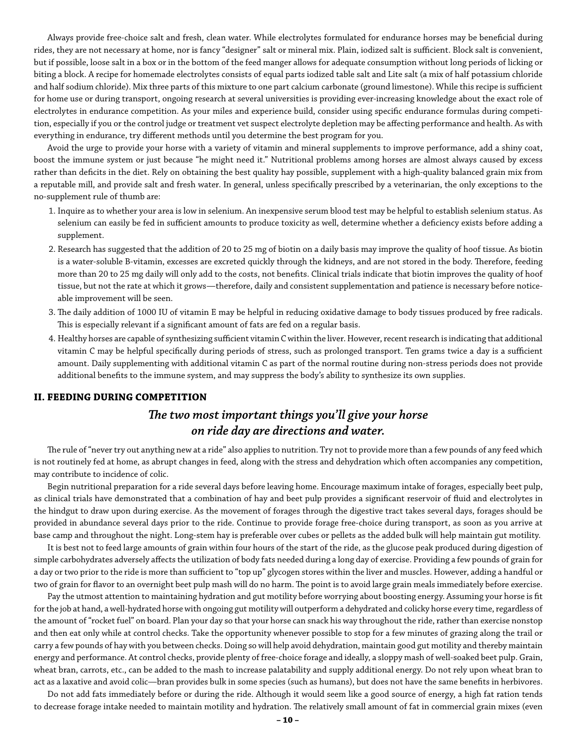Always provide free-choice salt and fresh, clean water. While electrolytes formulated for endurance horses may be beneficial during rides, they are not necessary at home, nor is fancy "designer" salt or mineral mix. Plain, iodized salt is sufficient. Block salt is convenient, but if possible, loose salt in a box or in the bottom of the feed manger allows for adequate consumption without long periods of licking or biting a block. A recipe for homemade electrolytes consists of equal parts iodized table salt and Lite salt (a mix of half potassium chloride and half sodium chloride). Mix three parts of this mixture to one part calcium carbonate (ground limestone). While this recipe is sufficient for home use or during transport, ongoing research at several universities is providing ever-increasing knowledge about the exact role of electrolytes in endurance competition. As your miles and experience build, consider using specific endurance formulas during competition, especially if you or the control judge or treatment vet suspect electrolyte depletion may be affecting performance and health. As with everything in endurance, try different methods until you determine the best program for you.

Avoid the urge to provide your horse with a variety of vitamin and mineral supplements to improve performance, add a shiny coat, boost the immune system or just because "he might need it." Nutritional problems among horses are almost always caused by excess rather than deficits in the diet. Rely on obtaining the best quality hay possible, supplement with a high-quality balanced grain mix from a reputable mill, and provide salt and fresh water. In general, unless specifically prescribed by a veterinarian, the only exceptions to the no-supplement rule of thumb are:

- 1. Inquire as to whether your area is low in selenium. An inexpensive serum blood test may be helpful to establish selenium status. As selenium can easily be fed in sufficient amounts to produce toxicity as well, determine whether a deficiency exists before adding a supplement.
- 2. Research has suggested that the addition of 20 to 25 mg of biotin on a daily basis may improve the quality of hoof tissue. As biotin is a water-soluble B-vitamin, excesses are excreted quickly through the kidneys, and are not stored in the body. Therefore, feeding more than 20 to 25 mg daily will only add to the costs, not benefits. Clinical trials indicate that biotin improves the quality of hoof tissue, but not the rate at which it grows—therefore, daily and consistent supplementation and patience is necessary before noticeable improvement will be seen.
- 3. The daily addition of 1000 IU of vitamin E may be helpful in reducing oxidative damage to body tissues produced by free radicals. This is especially relevant if a significant amount of fats are fed on a regular basis.
- 4. Healthy horses are capable of synthesizing sufficient vitamin C within the liver. However, recent research is indicating that additional vitamin C may be helpful specifically during periods of stress, such as prolonged transport. Ten grams twice a day is a sufficient amount. Daily supplementing with additional vitamin C as part of the normal routine during non-stress periods does not provide additional benefits to the immune system, and may suppress the body's ability to synthesize its own supplies.

### **II. FEEDING DURING COMPETITION**

### *The two most important things you'll give your horse on ride day are directions and water.*

The rule of "never try out anything new at a ride" also applies to nutrition. Try not to provide more than a few pounds of any feed which is not routinely fed at home, as abrupt changes in feed, along with the stress and dehydration which often accompanies any competition, may contribute to incidence of colic.

Begin nutritional preparation for a ride several days before leaving home. Encourage maximum intake of forages, especially beet pulp, as clinical trials have demonstrated that a combination of hay and beet pulp provides a significant reservoir of fluid and electrolytes in the hindgut to draw upon during exercise. As the movement of forages through the digestive tract takes several days, forages should be provided in abundance several days prior to the ride. Continue to provide forage free-choice during transport, as soon as you arrive at base camp and throughout the night. Long-stem hay is preferable over cubes or pellets as the added bulk will help maintain gut motility.

It is best not to feed large amounts of grain within four hours of the start of the ride, as the glucose peak produced during digestion of simple carbohydrates adversely affects the utilization of body fats needed during a long day of exercise. Providing a few pounds of grain for a day or two prior to the ride is more than sufficient to "top up" glycogen stores within the liver and muscles. However, adding a handful or two of grain for flavor to an overnight beet pulp mash will do no harm. The point is to avoid large grain meals immediately before exercise.

Pay the utmost attention to maintaining hydration and gut motility before worrying about boosting energy. Assuming your horse is fit for the job at hand, a well-hydrated horse with ongoing gut motility will outperform a dehydrated and colicky horse every time, regardless of the amount of "rocket fuel" on board. Plan your day so that your horse can snack his way throughout the ride, rather than exercise nonstop and then eat only while at control checks. Take the opportunity whenever possible to stop for a few minutes of grazing along the trail or carry a few pounds of hay with you between checks. Doing so will help avoid dehydration, maintain good gut motility and thereby maintain energy and performance. At control checks, provide plenty of free-choice forage and ideally, a sloppy mash of well-soaked beet pulp. Grain, wheat bran, carrots, etc., can be added to the mash to increase palatability and supply additional energy. Do not rely upon wheat bran to act as a laxative and avoid colic—bran provides bulk in some species (such as humans), but does not have the same benefits in herbivores.

Do not add fats immediately before or during the ride. Although it would seem like a good source of energy, a high fat ration tends to decrease forage intake needed to maintain motility and hydration. The relatively small amount of fat in commercial grain mixes (even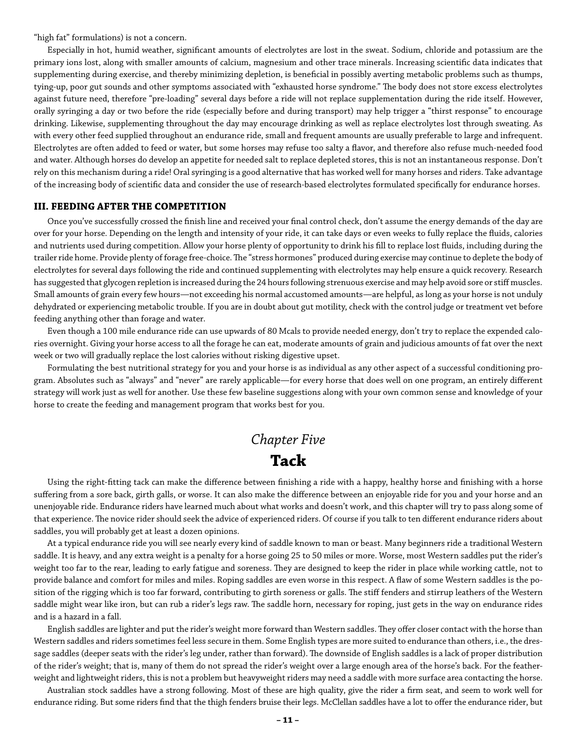"high fat" formulations) is not a concern.

Especially in hot, humid weather, significant amounts of electrolytes are lost in the sweat. Sodium, chloride and potassium are the primary ions lost, along with smaller amounts of calcium, magnesium and other trace minerals. Increasing scientific data indicates that supplementing during exercise, and thereby minimizing depletion, is beneficial in possibly averting metabolic problems such as thumps, tying-up, poor gut sounds and other symptoms associated with "exhausted horse syndrome." The body does not store excess electrolytes against future need, therefore "pre-loading" several days before a ride will not replace supplementation during the ride itself. However, orally syringing a day or two before the ride (especially before and during transport) may help trigger a "thirst response" to encourage drinking. Likewise, supplementing throughout the day may encourage drinking as well as replace electrolytes lost through sweating. As with every other feed supplied throughout an endurance ride, small and frequent amounts are usually preferable to large and infrequent. Electrolytes are often added to feed or water, but some horses may refuse too salty a flavor, and therefore also refuse much-needed food and water. Although horses do develop an appetite for needed salt to replace depleted stores, this is not an instantaneous response. Don't rely on this mechanism during a ride! Oral syringing is a good alternative that has worked well for many horses and riders. Take advantage of the increasing body of scientific data and consider the use of research-based electrolytes formulated specifically for endurance horses.

### **III. FEEDING AFTER THE COMPETITION**

Once you've successfully crossed the finish line and received your final control check, don't assume the energy demands of the day are over for your horse. Depending on the length and intensity of your ride, it can take days or even weeks to fully replace the fluids, calories and nutrients used during competition. Allow your horse plenty of opportunity to drink his fill to replace lost fluids, including during the trailer ride home. Provide plenty of forage free-choice. The "stress hormones" produced during exercise may continue to deplete the body of electrolytes for several days following the ride and continued supplementing with electrolytes may help ensure a quick recovery. Research has suggested that glycogen repletion is increased during the 24 hours following strenuous exercise and may help avoid sore or stiff muscles. Small amounts of grain every few hours—not exceeding his normal accustomed amounts—are helpful, as long as your horse is not unduly dehydrated or experiencing metabolic trouble. If you are in doubt about gut motility, check with the control judge or treatment vet before feeding anything other than forage and water.

Even though a 100 mile endurance ride can use upwards of 80 Mcals to provide needed energy, don't try to replace the expended calories overnight. Giving your horse access to all the forage he can eat, moderate amounts of grain and judicious amounts of fat over the next week or two will gradually replace the lost calories without risking digestive upset.

Formulating the best nutritional strategy for you and your horse is as individual as any other aspect of a successful conditioning program. Absolutes such as "always" and "never" are rarely applicable—for every horse that does well on one program, an entirely different strategy will work just as well for another. Use these few baseline suggestions along with your own common sense and knowledge of your horse to create the feeding and management program that works best for you.

### *Chapter Five* **Tack**

Using the right-fitting tack can make the difference between finishing a ride with a happy, healthy horse and finishing with a horse suffering from a sore back, girth galls, or worse. It can also make the difference between an enjoyable ride for you and your horse and an unenjoyable ride. Endurance riders have learned much about what works and doesn't work, and this chapter will try to pass along some of that experience. The novice rider should seek the advice of experienced riders. Of course if you talk to ten different endurance riders about saddles, you will probably get at least a dozen opinions.

At a typical endurance ride you will see nearly every kind of saddle known to man or beast. Many beginners ride a traditional Western saddle. It is heavy, and any extra weight is a penalty for a horse going 25 to 50 miles or more. Worse, most Western saddles put the rider's weight too far to the rear, leading to early fatigue and soreness. They are designed to keep the rider in place while working cattle, not to provide balance and comfort for miles and miles. Roping saddles are even worse in this respect. A flaw of some Western saddles is the position of the rigging which is too far forward, contributing to girth soreness or galls. The stiff fenders and stirrup leathers of the Western saddle might wear like iron, but can rub a rider's legs raw. The saddle horn, necessary for roping, just gets in the way on endurance rides and is a hazard in a fall.

English saddles are lighter and put the rider's weight more forward than Western saddles. They offer closer contact with the horse than Western saddles and riders sometimes feel less secure in them. Some English types are more suited to endurance than others, i.e., the dressage saddles (deeper seats with the rider's leg under, rather than forward). The downside of English saddles is a lack of proper distribution of the rider's weight; that is, many of them do not spread the rider's weight over a large enough area of the horse's back. For the featherweight and lightweight riders, this is not a problem but heavyweight riders may need a saddle with more surface area contacting the horse.

Australian stock saddles have a strong following. Most of these are high quality, give the rider a firm seat, and seem to work well for endurance riding. But some riders find that the thigh fenders bruise their legs. McClellan saddles have a lot to offer the endurance rider, but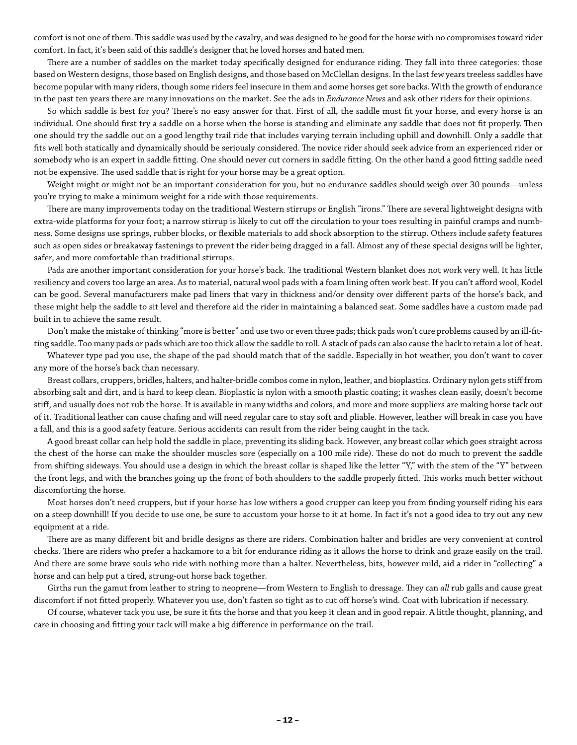comfort is not one of them. This saddle was used by the cavalry, and was designed to be good for the horse with no compromises toward rider comfort. In fact, it's been said of this saddle's designer that he loved horses and hated men.

There are a number of saddles on the market today specifically designed for endurance riding. They fall into three categories: those based on Western designs, those based on English designs, and those based on McClellan designs. In the last few years treeless saddles have become popular with many riders, though some riders feel insecure in them and some horses get sore backs. With the growth of endurance in the past ten years there are many innovations on the market. See the ads in *Endurance News* and ask other riders for their opinions.

So which saddle is best for you? There's no easy answer for that. First of all, the saddle must fit your horse, and every horse is an individual. One should first try a saddle on a horse when the horse is standing and eliminate any saddle that does not fit properly. Then one should try the saddle out on a good lengthy trail ride that includes varying terrain including uphill and downhill. Only a saddle that fits well both statically and dynamically should be seriously considered. The novice rider should seek advice from an experienced rider or somebody who is an expert in saddle fitting. One should never cut corners in saddle fitting. On the other hand a good fitting saddle need not be expensive. The used saddle that is right for your horse may be a great option.

Weight might or might not be an important consideration for you, but no endurance saddles should weigh over 30 pounds—unless you're trying to make a minimum weight for a ride with those requirements.

There are many improvements today on the traditional Western stirrups or English "irons." There are several lightweight designs with extra-wide platforms for your foot; a narrow stirrup is likely to cut off the circulation to your toes resulting in painful cramps and numbness. Some designs use springs, rubber blocks, or flexible materials to add shock absorption to the stirrup. Others include safety features such as open sides or breakaway fastenings to prevent the rider being dragged in a fall. Almost any of these special designs will be lighter, safer, and more comfortable than traditional stirrups.

Pads are another important consideration for your horse's back. The traditional Western blanket does not work very well. It has little resiliency and covers too large an area. As to material, natural wool pads with a foam lining often work best. If you can't afford wool, Kodel can be good. Several manufacturers make pad liners that vary in thickness and/or density over different parts of the horse's back, and these might help the saddle to sit level and therefore aid the rider in maintaining a balanced seat. Some saddles have a custom made pad built in to achieve the same result.

Don't make the mistake of thinking "more is better" and use two or even three pads; thick pads won't cure problems caused by an ill-fitting saddle. Too many pads or pads which are too thick allow the saddle to roll. A stack of pads can also cause the back to retain a lot of heat.

Whatever type pad you use, the shape of the pad should match that of the saddle. Especially in hot weather, you don't want to cover any more of the horse's back than necessary.

Breast collars, cruppers, bridles, halters, and halter-bridle combos come in nylon, leather, and bioplastics. Ordinary nylon gets stiff from absorbing salt and dirt, and is hard to keep clean. Bioplastic is nylon with a smooth plastic coating; it washes clean easily, doesn't become stiff, and usually does not rub the horse. It is available in many widths and colors, and more and more suppliers are making horse tack out of it. Traditional leather can cause chafing and will need regular care to stay soft and pliable. However, leather will break in case you have a fall, and this is a good safety feature. Serious accidents can result from the rider being caught in the tack.

A good breast collar can help hold the saddle in place, preventing its sliding back. However, any breast collar which goes straight across the chest of the horse can make the shoulder muscles sore (especially on a 100 mile ride). These do not do much to prevent the saddle from shifting sideways. You should use a design in which the breast collar is shaped like the letter "Y," with the stem of the "Y" between the front legs, and with the branches going up the front of both shoulders to the saddle properly fitted. This works much better without discomforting the horse.

Most horses don't need cruppers, but if your horse has low withers a good crupper can keep you from finding yourself riding his ears on a steep downhill! If you decide to use one, be sure to accustom your horse to it at home. In fact it's not a good idea to try out any new equipment at a ride.

There are as many different bit and bridle designs as there are riders. Combination halter and bridles are very convenient at control checks. There are riders who prefer a hackamore to a bit for endurance riding as it allows the horse to drink and graze easily on the trail. And there are some brave souls who ride with nothing more than a halter. Nevertheless, bits, however mild, aid a rider in "collecting" a horse and can help put a tired, strung-out horse back together.

Girths run the gamut from leather to string to neoprene—from Western to English to dressage. They can *all* rub galls and cause great discomfort if not fitted properly. Whatever you use, don't fasten so tight as to cut off horse's wind. Coat with lubrication if necessary.

Of course, whatever tack you use, be sure it fits the horse and that you keep it clean and in good repair. A little thought, planning, and care in choosing and fitting your tack will make a big difference in performance on the trail.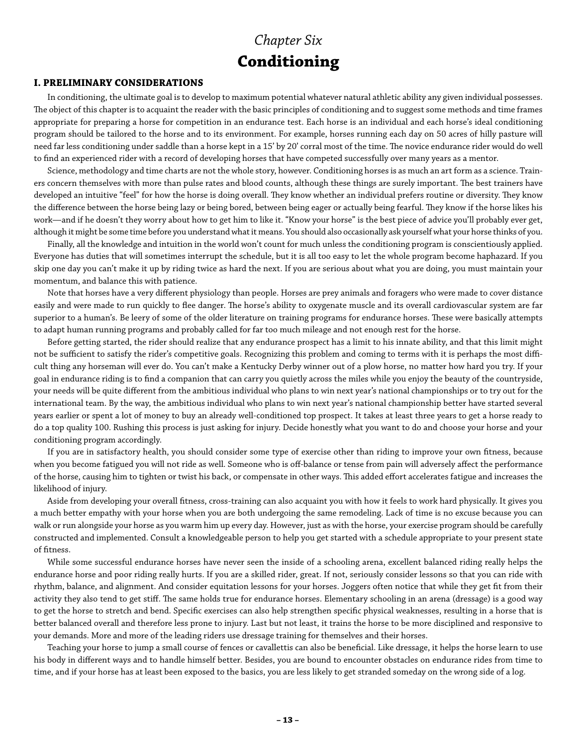### *Chapter Six*  **Conditioning**

### **I. PRELIMINARY CONSIDERATIONS**

In conditioning, the ultimate goal is to develop to maximum potential whatever natural athletic ability any given individual possesses. The object of this chapter is to acquaint the reader with the basic principles of conditioning and to suggest some methods and time frames appropriate for preparing a horse for competition in an endurance test. Each horse is an individual and each horse's ideal conditioning program should be tailored to the horse and to its environment. For example, horses running each day on 50 acres of hilly pasture will need far less conditioning under saddle than a horse kept in a 15' by 20' corral most of the time. The novice endurance rider would do well to find an experienced rider with a record of developing horses that have competed successfully over many years as a mentor.

Science, methodology and time charts are not the whole story, however. Conditioning horses is as much an art form as a science. Trainers concern themselves with more than pulse rates and blood counts, although these things are surely important. The best trainers have developed an intuitive "feel" for how the horse is doing overall. They know whether an individual prefers routine or diversity. They know the difference between the horse being lazy or being bored, between being eager or actually being fearful. They know if the horse likes his work—and if he doesn't they worry about how to get him to like it. "Know your horse" is the best piece of advice you'll probably ever get, although it might be some time before you understand what it means. You should also occasionally ask yourself what your horse thinks of you.

Finally, all the knowledge and intuition in the world won't count for much unless the conditioning program is conscientiously applied. Everyone has duties that will sometimes interrupt the schedule, but it is all too easy to let the whole program become haphazard. If you skip one day you can't make it up by riding twice as hard the next. If you are serious about what you are doing, you must maintain your momentum, and balance this with patience.

Note that horses have a very different physiology than people. Horses are prey animals and foragers who were made to cover distance easily and were made to run quickly to flee danger. The horse's ability to oxygenate muscle and its overall cardiovascular system are far superior to a human's. Be leery of some of the older literature on training programs for endurance horses. These were basically attempts to adapt human running programs and probably called for far too much mileage and not enough rest for the horse.

Before getting started, the rider should realize that any endurance prospect has a limit to his innate ability, and that this limit might not be sufficient to satisfy the rider's competitive goals. Recognizing this problem and coming to terms with it is perhaps the most difficult thing any horseman will ever do. You can't make a Kentucky Derby winner out of a plow horse, no matter how hard you try. If your goal in endurance riding is to find a companion that can carry you quietly across the miles while you enjoy the beauty of the countryside, your needs will be quite different from the ambitious individual who plans to win next year's national championships or to try out for the international team. By the way, the ambitious individual who plans to win next year's national championship better have started several years earlier or spent a lot of money to buy an already well-conditioned top prospect. It takes at least three years to get a horse ready to do a top quality 100. Rushing this process is just asking for injury. Decide honestly what you want to do and choose your horse and your conditioning program accordingly.

If you are in satisfactory health, you should consider some type of exercise other than riding to improve your own fitness, because when you become fatigued you will not ride as well. Someone who is off-balance or tense from pain will adversely affect the performance of the horse, causing him to tighten or twist his back, or compensate in other ways. This added effort accelerates fatigue and increases the likelihood of injury.

Aside from developing your overall fitness, cross-training can also acquaint you with how it feels to work hard physically. It gives you a much better empathy with your horse when you are both undergoing the same remodeling. Lack of time is no excuse because you can walk or run alongside your horse as you warm him up every day. However, just as with the horse, your exercise program should be carefully constructed and implemented. Consult a knowledgeable person to help you get started with a schedule appropriate to your present state of fitness.

While some successful endurance horses have never seen the inside of a schooling arena, excellent balanced riding really helps the endurance horse and poor riding really hurts. If you are a skilled rider, great. If not, seriously consider lessons so that you can ride with rhythm, balance, and alignment. And consider equitation lessons for your horses. Joggers often notice that while they get fit from their activity they also tend to get stiff. The same holds true for endurance horses. Elementary schooling in an arena (dressage) is a good way to get the horse to stretch and bend. Specific exercises can also help strengthen specific physical weaknesses, resulting in a horse that is better balanced overall and therefore less prone to injury. Last but not least, it trains the horse to be more disciplined and responsive to your demands. More and more of the leading riders use dressage training for themselves and their horses.

Teaching your horse to jump a small course of fences or cavallettis can also be beneficial. Like dressage, it helps the horse learn to use his body in different ways and to handle himself better. Besides, you are bound to encounter obstacles on endurance rides from time to time, and if your horse has at least been exposed to the basics, you are less likely to get stranded someday on the wrong side of a log.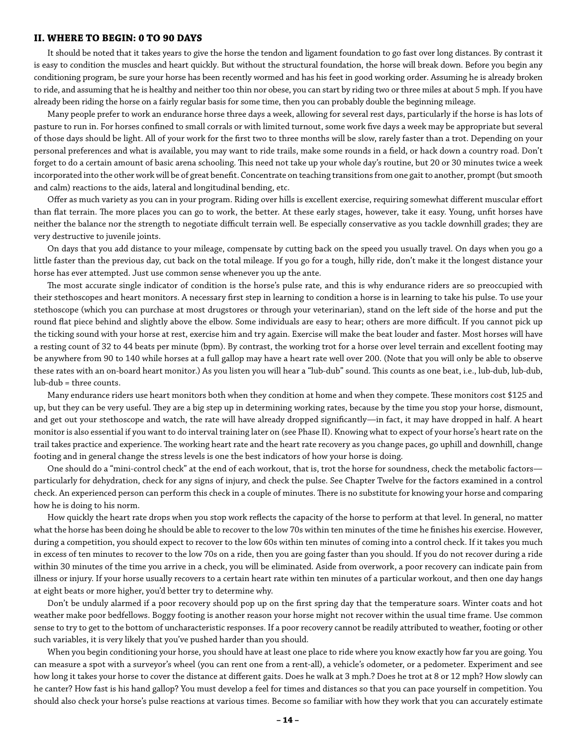### **II. WHERE TO BEGIN: 0 TO 90 DAYS**

It should be noted that it takes years to give the horse the tendon and ligament foundation to go fast over long distances. By contrast it is easy to condition the muscles and heart quickly. But without the structural foundation, the horse will break down. Before you begin any conditioning program, be sure your horse has been recently wormed and has his feet in good working order. Assuming he is already broken to ride, and assuming that he is healthy and neither too thin nor obese, you can start by riding two or three miles at about 5 mph. If you have already been riding the horse on a fairly regular basis for some time, then you can probably double the beginning mileage.

Many people prefer to work an endurance horse three days a week, allowing for several rest days, particularly if the horse is has lots of pasture to run in. For horses confined to small corrals or with limited turnout, some work five days a week may be appropriate but several of those days should be light. All of your work for the first two to three months will be slow, rarely faster than a trot. Depending on your personal preferences and what is available, you may want to ride trails, make some rounds in a field, or hack down a country road. Don't forget to do a certain amount of basic arena schooling. This need not take up your whole day's routine, but 20 or 30 minutes twice a week incorporated into the other work will be of great benefit. Concentrate on teaching transitions from one gait to another, prompt (but smooth and calm) reactions to the aids, lateral and longitudinal bending, etc.

Offer as much variety as you can in your program. Riding over hills is excellent exercise, requiring somewhat different muscular effort than flat terrain. The more places you can go to work, the better. At these early stages, however, take it easy. Young, unfit horses have neither the balance nor the strength to negotiate difficult terrain well. Be especially conservative as you tackle downhill grades; they are very destructive to juvenile joints.

On days that you add distance to your mileage, compensate by cutting back on the speed you usually travel. On days when you go a little faster than the previous day, cut back on the total mileage. If you go for a tough, hilly ride, don't make it the longest distance your horse has ever attempted. Just use common sense whenever you up the ante.

The most accurate single indicator of condition is the horse's pulse rate, and this is why endurance riders are so preoccupied with their stethoscopes and heart monitors. A necessary first step in learning to condition a horse is in learning to take his pulse. To use your stethoscope (which you can purchase at most drugstores or through your veterinarian), stand on the left side of the horse and put the round flat piece behind and slightly above the elbow. Some individuals are easy to hear; others are more difficult. If you cannot pick up the ticking sound with your horse at rest, exercise him and try again. Exercise will make the beat louder and faster. Most horses will have a resting count of 32 to 44 beats per minute (bpm). By contrast, the working trot for a horse over level terrain and excellent footing may be anywhere from 90 to 140 while horses at a full gallop may have a heart rate well over 200. (Note that you will only be able to observe these rates with an on-board heart monitor.) As you listen you will hear a "lub-dub" sound. This counts as one beat, i.e., lub-dub, lub-dub, lub-dub = three counts.

Many endurance riders use heart monitors both when they condition at home and when they compete. These monitors cost \$125 and up, but they can be very useful. They are a big step up in determining working rates, because by the time you stop your horse, dismount, and get out your stethoscope and watch, the rate will have already dropped significantly—in fact, it may have dropped in half. A heart monitor is also essential if you want to do interval training later on (see Phase II). Knowing what to expect of your horse's heart rate on the trail takes practice and experience. The working heart rate and the heart rate recovery as you change paces, go uphill and downhill, change footing and in general change the stress levels is one the best indicators of how your horse is doing.

One should do a "mini-control check" at the end of each workout, that is, trot the horse for soundness, check the metabolic factors particularly for dehydration, check for any signs of injury, and check the pulse. See Chapter Twelve for the factors examined in a control check. An experienced person can perform this check in a couple of minutes. There is no substitute for knowing your horse and comparing how he is doing to his norm.

How quickly the heart rate drops when you stop work reflects the capacity of the horse to perform at that level. In general, no matter what the horse has been doing he should be able to recover to the low 70s within ten minutes of the time he finishes his exercise. However, during a competition, you should expect to recover to the low 60s within ten minutes of coming into a control check. If it takes you much in excess of ten minutes to recover to the low 70s on a ride, then you are going faster than you should. If you do not recover during a ride within 30 minutes of the time you arrive in a check, you will be eliminated. Aside from overwork, a poor recovery can indicate pain from illness or injury. If your horse usually recovers to a certain heart rate within ten minutes of a particular workout, and then one day hangs at eight beats or more higher, you'd better try to determine why.

Don't be unduly alarmed if a poor recovery should pop up on the first spring day that the temperature soars. Winter coats and hot weather make poor bedfellows. Boggy footing is another reason your horse might not recover within the usual time frame. Use common sense to try to get to the bottom of uncharacteristic responses. If a poor recovery cannot be readily attributed to weather, footing or other such variables, it is very likely that you've pushed harder than you should.

When you begin conditioning your horse, you should have at least one place to ride where you know exactly how far you are going. You can measure a spot with a surveyor's wheel (you can rent one from a rent-all), a vehicle's odometer, or a pedometer. Experiment and see how long it takes your horse to cover the distance at different gaits. Does he walk at 3 mph.? Does he trot at 8 or 12 mph? How slowly can he canter? How fast is his hand gallop? You must develop a feel for times and distances so that you can pace yourself in competition. You should also check your horse's pulse reactions at various times. Become so familiar with how they work that you can accurately estimate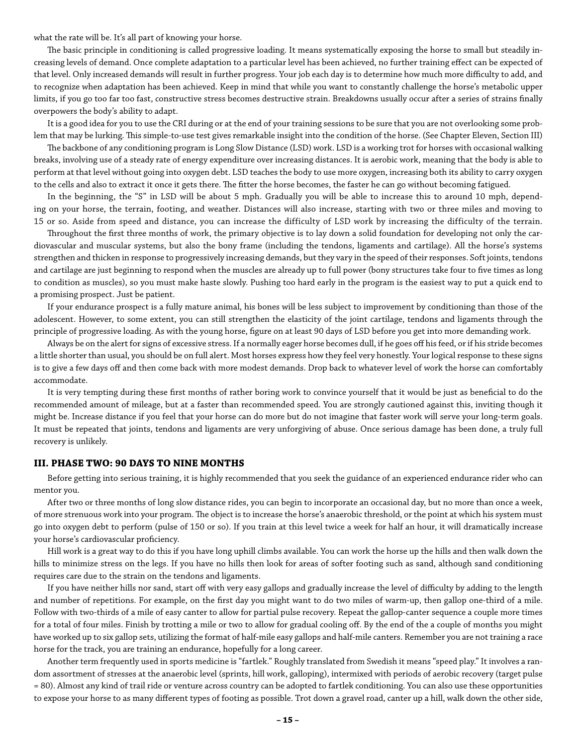what the rate will be. It's all part of knowing your horse.

The basic principle in conditioning is called progressive loading. It means systematically exposing the horse to small but steadily increasing levels of demand. Once complete adaptation to a particular level has been achieved, no further training effect can be expected of that level. Only increased demands will result in further progress. Your job each day is to determine how much more difficulty to add, and to recognize when adaptation has been achieved. Keep in mind that while you want to constantly challenge the horse's metabolic upper limits, if you go too far too fast, constructive stress becomes destructive strain. Breakdowns usually occur after a series of strains finally overpowers the body's ability to adapt.

It is a good idea for you to use the CRI during or at the end of your training sessions to be sure that you are not overlooking some problem that may be lurking. This simple-to-use test gives remarkable insight into the condition of the horse. (See Chapter Eleven, Section III)

The backbone of any conditioning program is Long Slow Distance (LSD) work. LSD is a working trot for horses with occasional walking breaks, involving use of a steady rate of energy expenditure over increasing distances. It is aerobic work, meaning that the body is able to perform at that level without going into oxygen debt. LSD teaches the body to use more oxygen, increasing both its ability to carry oxygen to the cells and also to extract it once it gets there. The fitter the horse becomes, the faster he can go without becoming fatigued.

In the beginning, the "S" in LSD will be about 5 mph. Gradually you will be able to increase this to around 10 mph, depending on your horse, the terrain, footing, and weather. Distances will also increase, starting with two or three miles and moving to 15 or so. Aside from speed and distance, you can increase the difficulty of LSD work by increasing the difficulty of the terrain.

Throughout the first three months of work, the primary objective is to lay down a solid foundation for developing not only the cardiovascular and muscular systems, but also the bony frame (including the tendons, ligaments and cartilage). All the horse's systems strengthen and thicken in response to progressively increasing demands, but they vary in the speed of their responses. Soft joints, tendons and cartilage are just beginning to respond when the muscles are already up to full power (bony structures take four to five times as long to condition as muscles), so you must make haste slowly. Pushing too hard early in the program is the easiest way to put a quick end to a promising prospect. Just be patient.

If your endurance prospect is a fully mature animal, his bones will be less subject to improvement by conditioning than those of the adolescent. However, to some extent, you can still strengthen the elasticity of the joint cartilage, tendons and ligaments through the principle of progressive loading. As with the young horse, figure on at least 90 days of LSD before you get into more demanding work.

Always be on the alert for signs of excessive stress. If a normally eager horse becomes dull, if he goes off his feed, or if his stride becomes a little shorter than usual, you should be on full alert. Most horses express how they feel very honestly. Your logical response to these signs is to give a few days off and then come back with more modest demands. Drop back to whatever level of work the horse can comfortably accommodate.

It is very tempting during these first months of rather boring work to convince yourself that it would be just as beneficial to do the recommended amount of mileage, but at a faster than recommended speed. You are strongly cautioned against this, inviting though it might be. Increase distance if you feel that your horse can do more but do not imagine that faster work will serve your long-term goals. It must be repeated that joints, tendons and ligaments are very unforgiving of abuse. Once serious damage has been done, a truly full recovery is unlikely.

#### **III. PHASE TWO: 90 DAYS TO NINE MONTHS**

Before getting into serious training, it is highly recommended that you seek the guidance of an experienced endurance rider who can mentor you.

After two or three months of long slow distance rides, you can begin to incorporate an occasional day, but no more than once a week, of more strenuous work into your program. The object is to increase the horse's anaerobic threshold, or the point at which his system must go into oxygen debt to perform (pulse of 150 or so). If you train at this level twice a week for half an hour, it will dramatically increase your horse's cardiovascular proficiency.

Hill work is a great way to do this if you have long uphill climbs available. You can work the horse up the hills and then walk down the hills to minimize stress on the legs. If you have no hills then look for areas of softer footing such as sand, although sand conditioning requires care due to the strain on the tendons and ligaments.

If you have neither hills nor sand, start off with very easy gallops and gradually increase the level of difficulty by adding to the length and number of repetitions. For example, on the first day you might want to do two miles of warm-up, then gallop one-third of a mile. Follow with two-thirds of a mile of easy canter to allow for partial pulse recovery. Repeat the gallop-canter sequence a couple more times for a total of four miles. Finish by trotting a mile or two to allow for gradual cooling off. By the end of the a couple of months you might have worked up to six gallop sets, utilizing the format of half-mile easy gallops and half-mile canters. Remember you are not training a race horse for the track, you are training an endurance, hopefully for a long career.

Another term frequently used in sports medicine is "fartlek." Roughly translated from Swedish it means "speed play." It involves a random assortment of stresses at the anaerobic level (sprints, hill work, galloping), intermixed with periods of aerobic recovery (target pulse = 80). Almost any kind of trail ride or venture across country can be adopted to fartlek conditioning. You can also use these opportunities to expose your horse to as many different types of footing as possible. Trot down a gravel road, canter up a hill, walk down the other side,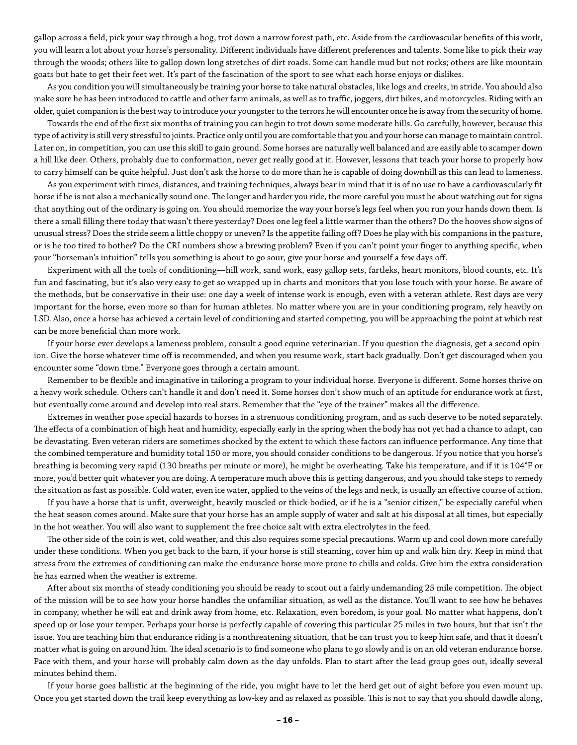gallop across a field, pick your way through a bog, trot down a narrow forest path, etc. Aside from the cardiovascular benefits of this work, you will learn a lot about your horse's personality. Different individuals have different preferences and talents. Some like to pick their way through the woods; others like to gallop down long stretches of dirt roads. Some can handle mud but not rocks; others are like mountain goats but hate to get their feet wet. It's part of the fascination of the sport to see what each horse enjoys or dislikes.

As you condition you will simultaneously be training your horse to take natural obstacles, like logs and creeks, in stride. You should also make sure he has been introduced to cattle and other farm animals, as well as to traffic, joggers, dirt bikes, and motorcycles. Riding with an older, quiet companion is the best way to introduce your youngster to the terrors he will encounter once he is away from the security of home.

Towards the end of the first six months of training you can begin to trot down some moderate hills. Go carefully, however, because this type of activity is still very stressful to joints. Practice only until you are comfortable that you and your horse can manage to maintain control. Later on, in competition, you can use this skill to gain ground. Some horses are naturally well balanced and are easily able to scamper down a hill like deer. Others, probably due to conformation, never get really good at it. However, lessons that teach your horse to properly how to carry himself can be quite helpful. Just don't ask the horse to do more than he is capable of doing downhill as this can lead to lameness.

As you experiment with times, distances, and training techniques, always bear in mind that it is of no use to have a cardiovascularly fit horse if he is not also a mechanically sound one. The longer and harder you ride, the more careful you must be about watching out for signs that anything out of the ordinary is going on. You should memorize the way your horse's legs feel when you run your hands down them. Is there a small filling there today that wasn't there yesterday? Does one leg feel a little warmer than the others? Do the hooves show signs of unusual stress? Does the stride seem a little choppy or uneven? Is the appetite failing off? Does he play with his companions in the pasture, or is he too tired to bother? Do the CRI numbers show a brewing problem? Even if you can't point your finger to anything specific, when your "horseman's intuition" tells you something is about to go sour, give your horse and yourself a few days off.

Experiment with all the tools of conditioning—hill work, sand work, easy gallop sets, fartleks, heart monitors, blood counts, etc. It's fun and fascinating, but it's also very easy to get so wrapped up in charts and monitors that you lose touch with your horse. Be aware of the methods, but be conservative in their use: one day a week of intense work is enough, even with a veteran athlete. Rest days are very important for the horse, even more so than for human athletes. No matter where you are in your conditioning program, rely heavily on LSD. Also, once a horse has achieved a certain level of conditioning and started competing, you will be approaching the point at which rest can be more beneficial than more work.

If your horse ever develops a lameness problem, consult a good equine veterinarian. If you question the diagnosis, get a second opinion. Give the horse whatever time off is recommended, and when you resume work, start back gradually. Don't get discouraged when you encounter some "down time." Everyone goes through a certain amount.

Remember to be flexible and imaginative in tailoring a program to your individual horse. Everyone is different. Some horses thrive on a heavy work schedule. Others can't handle it and don't need it. Some horses don't show much of an aptitude for endurance work at first, but eventually come around and develop into real stars. Remember that the "eye of the trainer" makes all the difference.

Extremes in weather pose special hazards to horses in a strenuous conditioning program, and as such deserve to be noted separately. The effects of a combination of high heat and humidity, especially early in the spring when the body has not yet had a chance to adapt, can be devastating. Even veteran riders are sometimes shocked by the extent to which these factors can influence performance. Any time that the combined temperature and humidity total 150 or more, you should consider conditions to be dangerous. If you notice that you horse's breathing is becoming very rapid (130 breaths per minute or more), he might be overheating. Take his temperature, and if it is 104°F or more, you'd better quit whatever you are doing. A temperature much above this is getting dangerous, and you should take steps to remedy the situation as fast as possible. Cold water, even ice water, applied to the veins of the legs and neck, is usually an effective course of action.

If you have a horse that is unfit, overweight, heavily muscled or thick-bodied, or if he is a "senior citizen," be especially careful when the heat season comes around. Make sure that your horse has an ample supply of water and salt at his disposal at all times, but especially in the hot weather. You will also want to supplement the free choice salt with extra electrolytes in the feed.

The other side of the coin is wet, cold weather, and this also requires some special precautions. Warm up and cool down more carefully under these conditions. When you get back to the barn, if your horse is still steaming, cover him up and walk him dry. Keep in mind that stress from the extremes of conditioning can make the endurance horse more prone to chills and colds. Give him the extra consideration he has earned when the weather is extreme.

After about six months of steady conditioning you should be ready to scout out a fairly undemanding 25 mile competition. The object of the mission will be to see how your horse handles the unfamiliar situation, as well as the distance. You'll want to see how he behaves in company, whether he will eat and drink away from home, etc. Relaxation, even boredom, is your goal. No matter what happens, don't speed up or lose your temper. Perhaps your horse is perfectly capable of covering this particular 25 miles in two hours, but that isn't the issue. You are teaching him that endurance riding is a nonthreatening situation, that he can trust you to keep him safe, and that it doesn't matter what is going on around him. The ideal scenario is to find someone who plans to go slowly and is on an old veteran endurance horse. Pace with them, and your horse will probably calm down as the day unfolds. Plan to start after the lead group goes out, ideally several minutes behind them.

If your horse goes ballistic at the beginning of the ride, you might have to let the herd get out of sight before you even mount up. Once you get started down the trail keep everything as low-key and as relaxed as possible. This is not to say that you should dawdle along,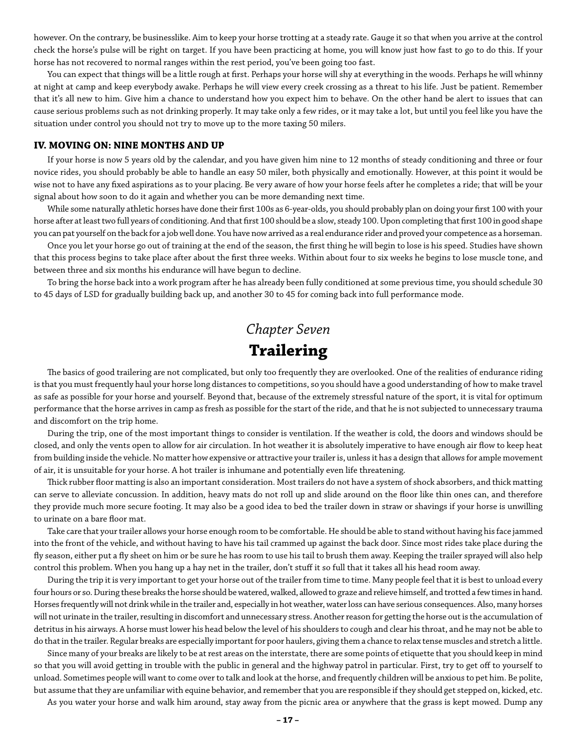however. On the contrary, be businesslike. Aim to keep your horse trotting at a steady rate. Gauge it so that when you arrive at the control check the horse's pulse will be right on target. If you have been practicing at home, you will know just how fast to go to do this. If your horse has not recovered to normal ranges within the rest period, you've been going too fast.

You can expect that things will be a little rough at first. Perhaps your horse will shy at everything in the woods. Perhaps he will whinny at night at camp and keep everybody awake. Perhaps he will view every creek crossing as a threat to his life. Just be patient. Remember that it's all new to him. Give him a chance to understand how you expect him to behave. On the other hand be alert to issues that can cause serious problems such as not drinking properly. It may take only a few rides, or it may take a lot, but until you feel like you have the situation under control you should not try to move up to the more taxing 50 milers.

### **IV. MOVING ON: NINE MONTHS AND UP**

If your horse is now 5 years old by the calendar, and you have given him nine to 12 months of steady conditioning and three or four novice rides, you should probably be able to handle an easy 50 miler, both physically and emotionally. However, at this point it would be wise not to have any fixed aspirations as to your placing. Be very aware of how your horse feels after he completes a ride; that will be your signal about how soon to do it again and whether you can be more demanding next time.

While some naturally athletic horses have done their first 100s as 6-year-olds, you should probably plan on doing your first 100 with your horse after at least two full years of conditioning. And that first 100 should be a slow, steady 100. Upon completing that first 100 in good shape you can pat yourself on the back for a job well done. You have now arrived as a real endurance rider and proved your competence as a horseman.

Once you let your horse go out of training at the end of the season, the first thing he will begin to lose is his speed. Studies have shown that this process begins to take place after about the first three weeks. Within about four to six weeks he begins to lose muscle tone, and between three and six months his endurance will have begun to decline.

To bring the horse back into a work program after he has already been fully conditioned at some previous time, you should schedule 30 to 45 days of LSD for gradually building back up, and another 30 to 45 for coming back into full performance mode.

# *Chapter Seven* **Trailering**

The basics of good trailering are not complicated, but only too frequently they are overlooked. One of the realities of endurance riding is that you must frequently haul your horse long distances to competitions, so you should have a good understanding of how to make travel as safe as possible for your horse and yourself. Beyond that, because of the extremely stressful nature of the sport, it is vital for optimum performance that the horse arrives in camp as fresh as possible for the start of the ride, and that he is not subjected to unnecessary trauma and discomfort on the trip home.

During the trip, one of the most important things to consider is ventilation. If the weather is cold, the doors and windows should be closed, and only the vents open to allow for air circulation. In hot weather it is absolutely imperative to have enough air flow to keep heat from building inside the vehicle. No matter how expensive or attractive your trailer is, unless it has a design that allows for ample movement of air, it is unsuitable for your horse. A hot trailer is inhumane and potentially even life threatening.

Thick rubber floor matting is also an important consideration. Most trailers do not have a system of shock absorbers, and thick matting can serve to alleviate concussion. In addition, heavy mats do not roll up and slide around on the floor like thin ones can, and therefore they provide much more secure footing. It may also be a good idea to bed the trailer down in straw or shavings if your horse is unwilling to urinate on a bare floor mat.

Take care that your trailer allows your horse enough room to be comfortable. He should be able to stand without having his face jammed into the front of the vehicle, and without having to have his tail crammed up against the back door. Since most rides take place during the fly season, either put a fly sheet on him or be sure he has room to use his tail to brush them away. Keeping the trailer sprayed will also help control this problem. When you hang up a hay net in the trailer, don't stuff it so full that it takes all his head room away.

During the trip it is very important to get your horse out of the trailer from time to time. Many people feel that it is best to unload every four hours or so. During these breaks the horse should be watered, walked, allowed to graze and relieve himself, and trotted a few times in hand. Horses frequently will not drink while in the trailer and, especially in hot weather, water loss can have serious consequences. Also, many horses will not urinate in the trailer, resulting in discomfort and unnecessary stress. Another reason for getting the horse out is the accumulation of detritus in his airways. A horse must lower his head below the level of his shoulders to cough and clear his throat, and he may not be able to do that in the trailer. Regular breaks are especially important for poor haulers, giving them a chance to relax tense muscles and stretch a little.

Since many of your breaks are likely to be at rest areas on the interstate, there are some points of etiquette that you should keep in mind so that you will avoid getting in trouble with the public in general and the highway patrol in particular. First, try to get off to yourself to unload. Sometimes people will want to come over to talk and look at the horse, and frequently children will be anxious to pet him. Be polite, but assume that they are unfamiliar with equine behavior, and remember that you are responsible if they should get stepped on, kicked, etc.

As you water your horse and walk him around, stay away from the picnic area or anywhere that the grass is kept mowed. Dump any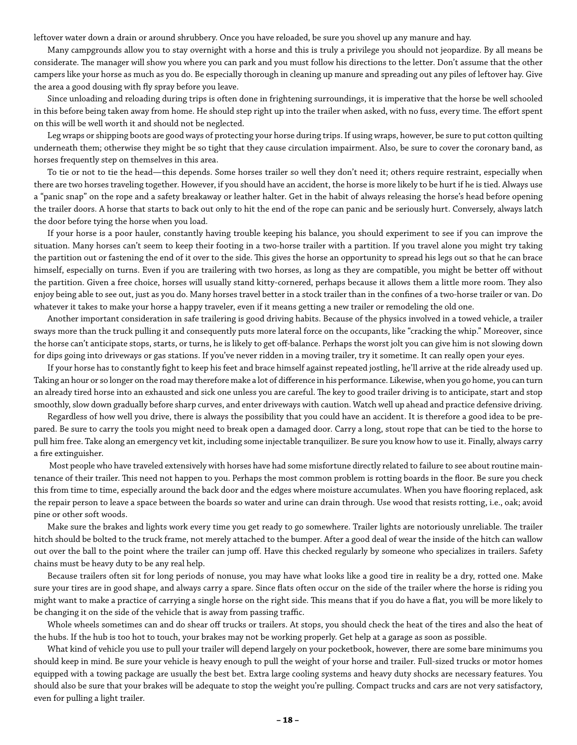leftover water down a drain or around shrubbery. Once you have reloaded, be sure you shovel up any manure and hay.

Many campgrounds allow you to stay overnight with a horse and this is truly a privilege you should not jeopardize. By all means be considerate. The manager will show you where you can park and you must follow his directions to the letter. Don't assume that the other campers like your horse as much as you do. Be especially thorough in cleaning up manure and spreading out any piles of leftover hay. Give the area a good dousing with fly spray before you leave.

Since unloading and reloading during trips is often done in frightening surroundings, it is imperative that the horse be well schooled in this before being taken away from home. He should step right up into the trailer when asked, with no fuss, every time. The effort spent on this will be well worth it and should not be neglected.

Leg wraps or shipping boots are good ways of protecting your horse during trips. If using wraps, however, be sure to put cotton quilting underneath them; otherwise they might be so tight that they cause circulation impairment. Also, be sure to cover the coronary band, as horses frequently step on themselves in this area.

To tie or not to tie the head—this depends. Some horses trailer so well they don't need it; others require restraint, especially when there are two horses traveling together. However, if you should have an accident, the horse is more likely to be hurt if he is tied. Always use a "panic snap" on the rope and a safety breakaway or leather halter. Get in the habit of always releasing the horse's head before opening the trailer doors. A horse that starts to back out only to hit the end of the rope can panic and be seriously hurt. Conversely, always latch the door before tying the horse when you load.

If your horse is a poor hauler, constantly having trouble keeping his balance, you should experiment to see if you can improve the situation. Many horses can't seem to keep their footing in a two-horse trailer with a partition. If you travel alone you might try taking the partition out or fastening the end of it over to the side. This gives the horse an opportunity to spread his legs out so that he can brace himself, especially on turns. Even if you are trailering with two horses, as long as they are compatible, you might be better off without the partition. Given a free choice, horses will usually stand kitty-cornered, perhaps because it allows them a little more room. They also enjoy being able to see out, just as you do. Many horses travel better in a stock trailer than in the confines of a two-horse trailer or van. Do whatever it takes to make your horse a happy traveler, even if it means getting a new trailer or remodeling the old one.

Another important consideration in safe trailering is good driving habits. Because of the physics involved in a towed vehicle, a trailer sways more than the truck pulling it and consequently puts more lateral force on the occupants, like "cracking the whip." Moreover, since the horse can't anticipate stops, starts, or turns, he is likely to get off-balance. Perhaps the worst jolt you can give him is not slowing down for dips going into driveways or gas stations. If you've never ridden in a moving trailer, try it sometime. It can really open your eyes.

If your horse has to constantly fight to keep his feet and brace himself against repeated jostling, he'll arrive at the ride already used up. Taking an hour or so longer on the road may therefore make a lot of difference in his performance. Likewise, when you go home, you can turn an already tired horse into an exhausted and sick one unless you are careful. The key to good trailer driving is to anticipate, start and stop smoothly, slow down gradually before sharp curves, and enter driveways with caution. Watch well up ahead and practice defensive driving.

Regardless of how well you drive, there is always the possibility that you could have an accident. It is therefore a good idea to be prepared. Be sure to carry the tools you might need to break open a damaged door. Carry a long, stout rope that can be tied to the horse to pull him free. Take along an emergency vet kit, including some injectable tranquilizer. Be sure you know how to use it. Finally, always carry a fire extinguisher.

 Most people who have traveled extensively with horses have had some misfortune directly related to failure to see about routine maintenance of their trailer. This need not happen to you. Perhaps the most common problem is rotting boards in the floor. Be sure you check this from time to time, especially around the back door and the edges where moisture accumulates. When you have flooring replaced, ask the repair person to leave a space between the boards so water and urine can drain through. Use wood that resists rotting, i.e., oak; avoid pine or other soft woods.

Make sure the brakes and lights work every time you get ready to go somewhere. Trailer lights are notoriously unreliable. The trailer hitch should be bolted to the truck frame, not merely attached to the bumper. After a good deal of wear the inside of the hitch can wallow out over the ball to the point where the trailer can jump off. Have this checked regularly by someone who specializes in trailers. Safety chains must be heavy duty to be any real help.

Because trailers often sit for long periods of nonuse, you may have what looks like a good tire in reality be a dry, rotted one. Make sure your tires are in good shape, and always carry a spare. Since flats often occur on the side of the trailer where the horse is riding you might want to make a practice of carrying a single horse on the right side. This means that if you do have a flat, you will be more likely to be changing it on the side of the vehicle that is away from passing traffic.

Whole wheels sometimes can and do shear off trucks or trailers. At stops, you should check the heat of the tires and also the heat of the hubs. If the hub is too hot to touch, your brakes may not be working properly. Get help at a garage as soon as possible.

What kind of vehicle you use to pull your trailer will depend largely on your pocketbook, however, there are some bare minimums you should keep in mind. Be sure your vehicle is heavy enough to pull the weight of your horse and trailer. Full-sized trucks or motor homes equipped with a towing package are usually the best bet. Extra large cooling systems and heavy duty shocks are necessary features. You should also be sure that your brakes will be adequate to stop the weight you're pulling. Compact trucks and cars are not very satisfactory, even for pulling a light trailer.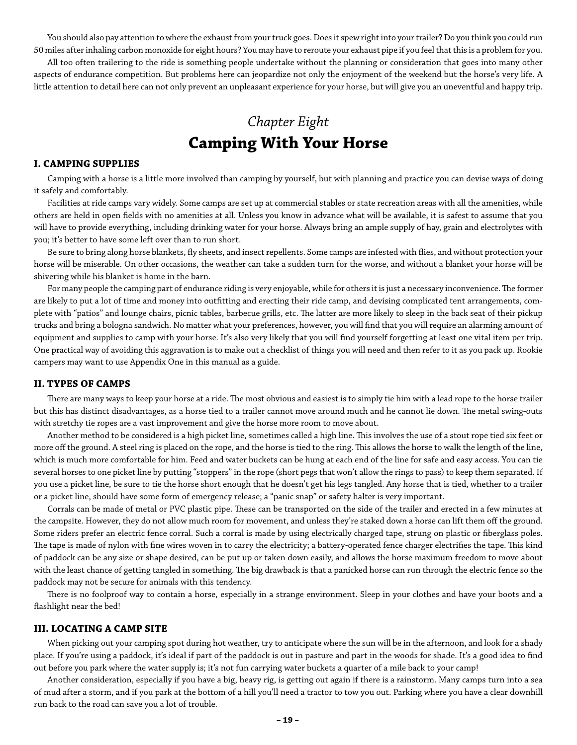You should also pay attention to where the exhaust from your truck goes. Does it spew right into your trailer? Do you think you could run 50 miles after inhaling carbon monoxide for eight hours? You may have to reroute your exhaust pipe if you feel that this is a problem for you.

All too often trailering to the ride is something people undertake without the planning or consideration that goes into many other aspects of endurance competition. But problems here can jeopardize not only the enjoyment of the weekend but the horse's very life. A little attention to detail here can not only prevent an unpleasant experience for your horse, but will give you an uneventful and happy trip.

# *Chapter Eight*  **Camping With Your Horse**

#### **I. CAMPING SUPPLIES**

Camping with a horse is a little more involved than camping by yourself, but with planning and practice you can devise ways of doing it safely and comfortably.

Facilities at ride camps vary widely. Some camps are set up at commercial stables or state recreation areas with all the amenities, while others are held in open fields with no amenities at all. Unless you know in advance what will be available, it is safest to assume that you will have to provide everything, including drinking water for your horse. Always bring an ample supply of hay, grain and electrolytes with you; it's better to have some left over than to run short.

Be sure to bring along horse blankets, fly sheets, and insect repellents. Some camps are infested with flies, and without protection your horse will be miserable. On other occasions, the weather can take a sudden turn for the worse, and without a blanket your horse will be shivering while his blanket is home in the barn.

For many people the camping part of endurance riding is very enjoyable, while for others it is just a necessary inconvenience. The former are likely to put a lot of time and money into outfitting and erecting their ride camp, and devising complicated tent arrangements, complete with "patios" and lounge chairs, picnic tables, barbecue grills, etc. The latter are more likely to sleep in the back seat of their pickup trucks and bring a bologna sandwich. No matter what your preferences, however, you will find that you will require an alarming amount of equipment and supplies to camp with your horse. It's also very likely that you will find yourself forgetting at least one vital item per trip. One practical way of avoiding this aggravation is to make out a checklist of things you will need and then refer to it as you pack up. Rookie campers may want to use Appendix One in this manual as a guide.

#### **II. TYPES OF CAMPS**

There are many ways to keep your horse at a ride. The most obvious and easiest is to simply tie him with a lead rope to the horse trailer but this has distinct disadvantages, as a horse tied to a trailer cannot move around much and he cannot lie down. The metal swing-outs with stretchy tie ropes are a vast improvement and give the horse more room to move about.

Another method to be considered is a high picket line, sometimes called a high line. This involves the use of a stout rope tied six feet or more off the ground. A steel ring is placed on the rope, and the horse is tied to the ring. This allows the horse to walk the length of the line, which is much more comfortable for him. Feed and water buckets can be hung at each end of the line for safe and easy access. You can tie several horses to one picket line by putting "stoppers" in the rope (short pegs that won't allow the rings to pass) to keep them separated. If you use a picket line, be sure to tie the horse short enough that he doesn't get his legs tangled. Any horse that is tied, whether to a trailer or a picket line, should have some form of emergency release; a "panic snap" or safety halter is very important.

Corrals can be made of metal or PVC plastic pipe. These can be transported on the side of the trailer and erected in a few minutes at the campsite. However, they do not allow much room for movement, and unless they're staked down a horse can lift them off the ground. Some riders prefer an electric fence corral. Such a corral is made by using electrically charged tape, strung on plastic or fiberglass poles. The tape is made of nylon with fine wires woven in to carry the electricity; a battery-operated fence charger electrifies the tape. This kind of paddock can be any size or shape desired, can be put up or taken down easily, and allows the horse maximum freedom to move about with the least chance of getting tangled in something. The big drawback is that a panicked horse can run through the electric fence so the paddock may not be secure for animals with this tendency.

There is no foolproof way to contain a horse, especially in a strange environment. Sleep in your clothes and have your boots and a flashlight near the bed!

### **III. LOCATING A CAMP SITE**

When picking out your camping spot during hot weather, try to anticipate where the sun will be in the afternoon, and look for a shady place. If you're using a paddock, it's ideal if part of the paddock is out in pasture and part in the woods for shade. It's a good idea to find out before you park where the water supply is; it's not fun carrying water buckets a quarter of a mile back to your camp!

Another consideration, especially if you have a big, heavy rig, is getting out again if there is a rainstorm. Many camps turn into a sea of mud after a storm, and if you park at the bottom of a hill you'll need a tractor to tow you out. Parking where you have a clear downhill run back to the road can save you a lot of trouble.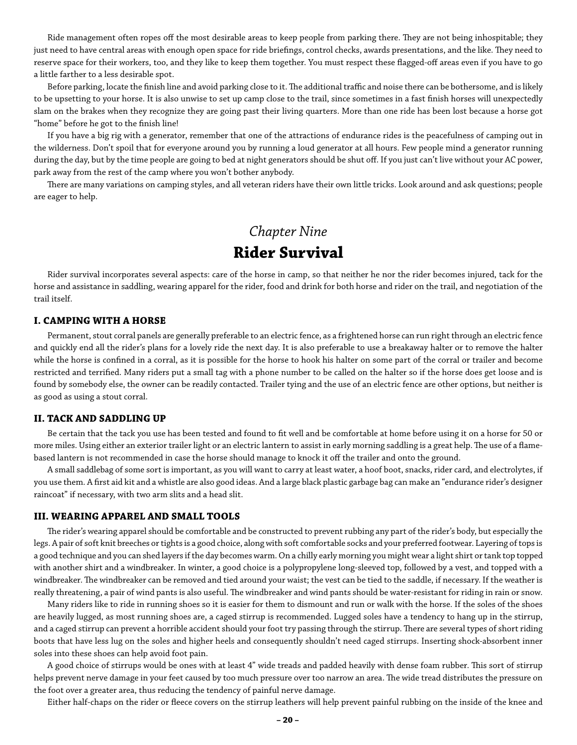Ride management often ropes off the most desirable areas to keep people from parking there. They are not being inhospitable; they just need to have central areas with enough open space for ride briefings, control checks, awards presentations, and the like. They need to reserve space for their workers, too, and they like to keep them together. You must respect these flagged-off areas even if you have to go a little farther to a less desirable spot.

Before parking, locate the finish line and avoid parking close to it. The additional traffic and noise there can be bothersome, and is likely to be upsetting to your horse. It is also unwise to set up camp close to the trail, since sometimes in a fast finish horses will unexpectedly slam on the brakes when they recognize they are going past their living quarters. More than one ride has been lost because a horse got "home" before he got to the finish line!

If you have a big rig with a generator, remember that one of the attractions of endurance rides is the peacefulness of camping out in the wilderness. Don't spoil that for everyone around you by running a loud generator at all hours. Few people mind a generator running during the day, but by the time people are going to bed at night generators should be shut off. If you just can't live without your AC power, park away from the rest of the camp where you won't bother anybody.

There are many variations on camping styles, and all veteran riders have their own little tricks. Look around and ask questions; people are eager to help.

### *Chapter Nine* **Rider Survival**

Rider survival incorporates several aspects: care of the horse in camp, so that neither he nor the rider becomes injured, tack for the horse and assistance in saddling, wearing apparel for the rider, food and drink for both horse and rider on the trail, and negotiation of the trail itself.

### **I. CAMPING WITH A HORSE**

Permanent, stout corral panels are generally preferable to an electric fence, as a frightened horse can run right through an electric fence and quickly end all the rider's plans for a lovely ride the next day. It is also preferable to use a breakaway halter or to remove the halter while the horse is confined in a corral, as it is possible for the horse to hook his halter on some part of the corral or trailer and become restricted and terrified. Many riders put a small tag with a phone number to be called on the halter so if the horse does get loose and is found by somebody else, the owner can be readily contacted. Trailer tying and the use of an electric fence are other options, but neither is as good as using a stout corral.

### **II. TACK AND SADDLING UP**

Be certain that the tack you use has been tested and found to fit well and be comfortable at home before using it on a horse for 50 or more miles. Using either an exterior trailer light or an electric lantern to assist in early morning saddling is a great help. The use of a flamebased lantern is not recommended in case the horse should manage to knock it off the trailer and onto the ground.

A small saddlebag of some sort is important, as you will want to carry at least water, a hoof boot, snacks, rider card, and electrolytes, if you use them. A first aid kit and a whistle are also good ideas. And a large black plastic garbage bag can make an "endurance rider's designer raincoat" if necessary, with two arm slits and a head slit.

### **III. WEARING APPAREL AND SMALL TOOLS**

The rider's wearing apparel should be comfortable and be constructed to prevent rubbing any part of the rider's body, but especially the legs. A pair of soft knit breeches or tights is a good choice, along with soft comfortable socks and your preferred footwear. Layering of tops is a good technique and you can shed layers if the day becomes warm. On a chilly early morning you might wear a light shirt or tank top topped with another shirt and a windbreaker. In winter, a good choice is a polypropylene long-sleeved top, followed by a vest, and topped with a windbreaker. The windbreaker can be removed and tied around your waist; the vest can be tied to the saddle, if necessary. If the weather is really threatening, a pair of wind pants is also useful. The windbreaker and wind pants should be water-resistant for riding in rain or snow.

Many riders like to ride in running shoes so it is easier for them to dismount and run or walk with the horse. If the soles of the shoes are heavily lugged, as most running shoes are, a caged stirrup is recommended. Lugged soles have a tendency to hang up in the stirrup, and a caged stirrup can prevent a horrible accident should your foot try passing through the stirrup. There are several types of short riding boots that have less lug on the soles and higher heels and consequently shouldn't need caged stirrups. Inserting shock-absorbent inner soles into these shoes can help avoid foot pain.

A good choice of stirrups would be ones with at least 4" wide treads and padded heavily with dense foam rubber. This sort of stirrup helps prevent nerve damage in your feet caused by too much pressure over too narrow an area. The wide tread distributes the pressure on the foot over a greater area, thus reducing the tendency of painful nerve damage.

Either half-chaps on the rider or fleece covers on the stirrup leathers will help prevent painful rubbing on the inside of the knee and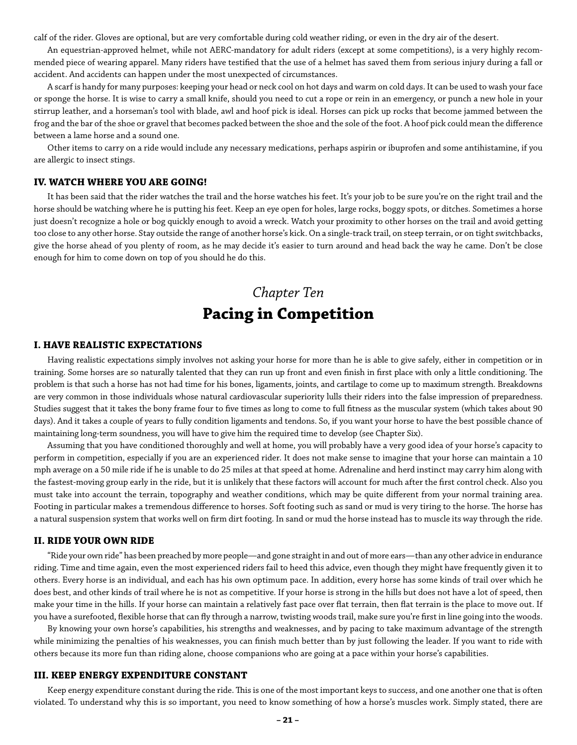calf of the rider. Gloves are optional, but are very comfortable during cold weather riding, or even in the dry air of the desert.

An equestrian-approved helmet, while not AERC-mandatory for adult riders (except at some competitions), is a very highly recommended piece of wearing apparel. Many riders have testified that the use of a helmet has saved them from serious injury during a fall or accident. And accidents can happen under the most unexpected of circumstances.

A scarf is handy for many purposes: keeping your head or neck cool on hot days and warm on cold days. It can be used to wash your face or sponge the horse. It is wise to carry a small knife, should you need to cut a rope or rein in an emergency, or punch a new hole in your stirrup leather, and a horseman's tool with blade, awl and hoof pick is ideal. Horses can pick up rocks that become jammed between the frog and the bar of the shoe or gravel that becomes packed between the shoe and the sole of the foot. A hoof pick could mean the difference between a lame horse and a sound one.

Other items to carry on a ride would include any necessary medications, perhaps aspirin or ibuprofen and some antihistamine, if you are allergic to insect stings.

### **IV. WATCH WHERE YOU ARE GOING!**

It has been said that the rider watches the trail and the horse watches his feet. It's your job to be sure you're on the right trail and the horse should be watching where he is putting his feet. Keep an eye open for holes, large rocks, boggy spots, or ditches. Sometimes a horse just doesn't recognize a hole or bog quickly enough to avoid a wreck. Watch your proximity to other horses on the trail and avoid getting too close to any other horse. Stay outside the range of another horse's kick. On a single-track trail, on steep terrain, or on tight switchbacks, give the horse ahead of you plenty of room, as he may decide it's easier to turn around and head back the way he came. Don't be close enough for him to come down on top of you should he do this.

### *Chapter Ten*  **Pacing in Competition**

### **I. HAVE REALISTIC EXPECTATIONS**

Having realistic expectations simply involves not asking your horse for more than he is able to give safely, either in competition or in training. Some horses are so naturally talented that they can run up front and even finish in first place with only a little conditioning. The problem is that such a horse has not had time for his bones, ligaments, joints, and cartilage to come up to maximum strength. Breakdowns are very common in those individuals whose natural cardiovascular superiority lulls their riders into the false impression of preparedness. Studies suggest that it takes the bony frame four to five times as long to come to full fitness as the muscular system (which takes about 90 days). And it takes a couple of years to fully condition ligaments and tendons. So, if you want your horse to have the best possible chance of maintaining long-term soundness, you will have to give him the required time to develop (see Chapter Six).

Assuming that you have conditioned thoroughly and well at home, you will probably have a very good idea of your horse's capacity to perform in competition, especially if you are an experienced rider. It does not make sense to imagine that your horse can maintain a 10 mph average on a 50 mile ride if he is unable to do 25 miles at that speed at home. Adrenaline and herd instinct may carry him along with the fastest-moving group early in the ride, but it is unlikely that these factors will account for much after the first control check. Also you must take into account the terrain, topography and weather conditions, which may be quite different from your normal training area. Footing in particular makes a tremendous difference to horses. Soft footing such as sand or mud is very tiring to the horse. The horse has a natural suspension system that works well on firm dirt footing. In sand or mud the horse instead has to muscle its way through the ride.

### **II. RIDE YOUR OWN RIDE**

"Ride your own ride" has been preached by more people—and gone straight in and out of more ears—than any other advice in endurance riding. Time and time again, even the most experienced riders fail to heed this advice, even though they might have frequently given it to others. Every horse is an individual, and each has his own optimum pace. In addition, every horse has some kinds of trail over which he does best, and other kinds of trail where he is not as competitive. If your horse is strong in the hills but does not have a lot of speed, then make your time in the hills. If your horse can maintain a relatively fast pace over flat terrain, then flat terrain is the place to move out. If you have a surefooted, flexible horse that can fly through a narrow, twisting woods trail, make sure you're first in line going into the woods.

By knowing your own horse's capabilities, his strengths and weaknesses, and by pacing to take maximum advantage of the strength while minimizing the penalties of his weaknesses, you can finish much better than by just following the leader. If you want to ride with others because its more fun than riding alone, choose companions who are going at a pace within your horse's capabilities.

#### **III. KEEP ENERGY EXPENDITURE CONSTANT**

Keep energy expenditure constant during the ride. This is one of the most important keys to success, and one another one that is often violated. To understand why this is so important, you need to know something of how a horse's muscles work. Simply stated, there are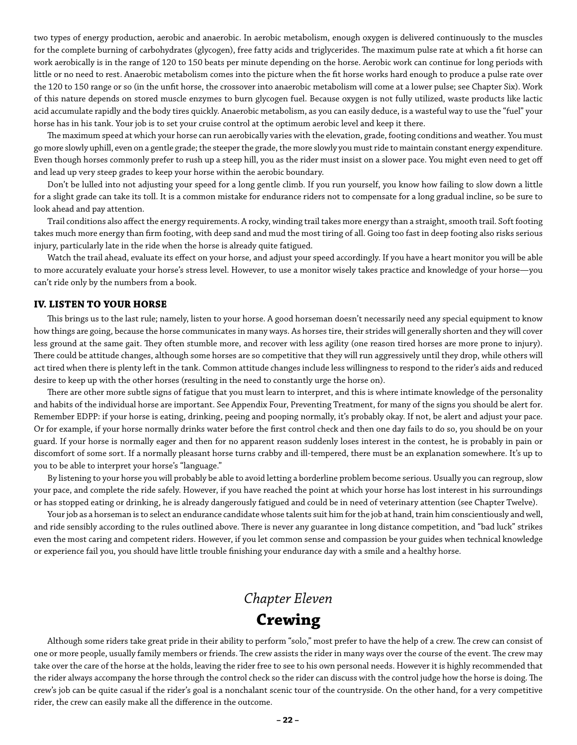two types of energy production, aerobic and anaerobic. In aerobic metabolism, enough oxygen is delivered continuously to the muscles for the complete burning of carbohydrates (glycogen), free fatty acids and triglycerides. The maximum pulse rate at which a fit horse can work aerobically is in the range of 120 to 150 beats per minute depending on the horse. Aerobic work can continue for long periods with little or no need to rest. Anaerobic metabolism comes into the picture when the fit horse works hard enough to produce a pulse rate over the 120 to 150 range or so (in the unfit horse, the crossover into anaerobic metabolism will come at a lower pulse; see Chapter Six). Work of this nature depends on stored muscle enzymes to burn glycogen fuel. Because oxygen is not fully utilized, waste products like lactic acid accumulate rapidly and the body tires quickly. Anaerobic metabolism, as you can easily deduce, is a wasteful way to use the "fuel" your horse has in his tank. Your job is to set your cruise control at the optimum aerobic level and keep it there.

The maximum speed at which your horse can run aerobically varies with the elevation, grade, footing conditions and weather. You must go more slowly uphill, even on a gentle grade; the steeper the grade, the more slowly you must ride to maintain constant energy expenditure. Even though horses commonly prefer to rush up a steep hill, you as the rider must insist on a slower pace. You might even need to get off and lead up very steep grades to keep your horse within the aerobic boundary.

Don't be lulled into not adjusting your speed for a long gentle climb. If you run yourself, you know how failing to slow down a little for a slight grade can take its toll. It is a common mistake for endurance riders not to compensate for a long gradual incline, so be sure to look ahead and pay attention.

Trail conditions also affect the energy requirements. A rocky, winding trail takes more energy than a straight, smooth trail. Soft footing takes much more energy than firm footing, with deep sand and mud the most tiring of all. Going too fast in deep footing also risks serious injury, particularly late in the ride when the horse is already quite fatigued.

Watch the trail ahead, evaluate its effect on your horse, and adjust your speed accordingly. If you have a heart monitor you will be able to more accurately evaluate your horse's stress level. However, to use a monitor wisely takes practice and knowledge of your horse—you can't ride only by the numbers from a book.

### **IV. LISTEN TO YOUR HORSE**

This brings us to the last rule; namely, listen to your horse. A good horseman doesn't necessarily need any special equipment to know how things are going, because the horse communicates in many ways. As horses tire, their strides will generally shorten and they will cover less ground at the same gait. They often stumble more, and recover with less agility (one reason tired horses are more prone to injury). There could be attitude changes, although some horses are so competitive that they will run aggressively until they drop, while others will act tired when there is plenty left in the tank. Common attitude changes include less willingness to respond to the rider's aids and reduced desire to keep up with the other horses (resulting in the need to constantly urge the horse on).

There are other more subtle signs of fatigue that you must learn to interpret, and this is where intimate knowledge of the personality and habits of the individual horse are important. See Appendix Four, Preventing Treatment, for many of the signs you should be alert for. Remember EDPP: if your horse is eating, drinking, peeing and pooping normally, it's probably okay. If not, be alert and adjust your pace. Or for example, if your horse normally drinks water before the first control check and then one day fails to do so, you should be on your guard. If your horse is normally eager and then for no apparent reason suddenly loses interest in the contest, he is probably in pain or discomfort of some sort. If a normally pleasant horse turns crabby and ill-tempered, there must be an explanation somewhere. It's up to you to be able to interpret your horse's "language."

By listening to your horse you will probably be able to avoid letting a borderline problem become serious. Usually you can regroup, slow your pace, and complete the ride safely. However, if you have reached the point at which your horse has lost interest in his surroundings or has stopped eating or drinking, he is already dangerously fatigued and could be in need of veterinary attention (see Chapter Twelve).

Your job as a horseman is to select an endurance candidate whose talents suit him for the job at hand, train him conscientiously and well, and ride sensibly according to the rules outlined above. There is never any guarantee in long distance competition, and "bad luck" strikes even the most caring and competent riders. However, if you let common sense and compassion be your guides when technical knowledge or experience fail you, you should have little trouble finishing your endurance day with a smile and a healthy horse.

# *Chapter Eleven*

# **Crewing**

Although some riders take great pride in their ability to perform "solo," most prefer to have the help of a crew. The crew can consist of one or more people, usually family members or friends. The crew assists the rider in many ways over the course of the event. The crew may take over the care of the horse at the holds, leaving the rider free to see to his own personal needs. However it is highly recommended that the rider always accompany the horse through the control check so the rider can discuss with the control judge how the horse is doing. The crew's job can be quite casual if the rider's goal is a nonchalant scenic tour of the countryside. On the other hand, for a very competitive rider, the crew can easily make all the difference in the outcome.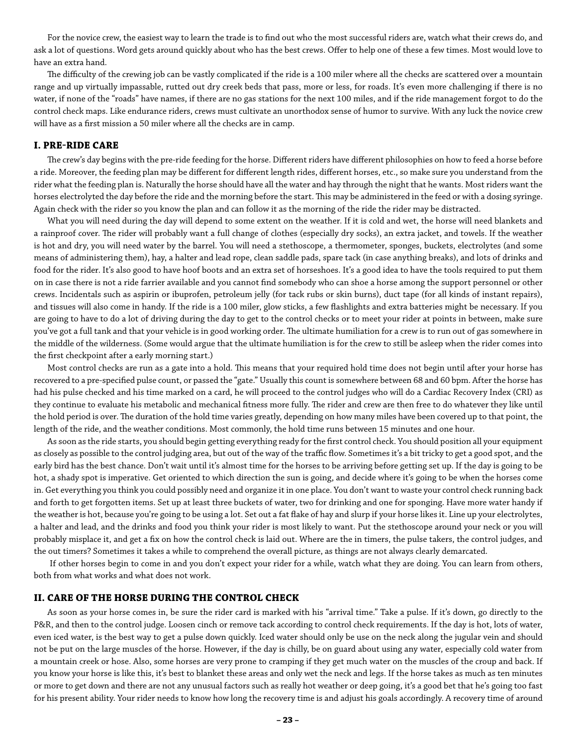For the novice crew, the easiest way to learn the trade is to find out who the most successful riders are, watch what their crews do, and ask a lot of questions. Word gets around quickly about who has the best crews. Offer to help one of these a few times. Most would love to have an extra hand.

The difficulty of the crewing job can be vastly complicated if the ride is a 100 miler where all the checks are scattered over a mountain range and up virtually impassable, rutted out dry creek beds that pass, more or less, for roads. It's even more challenging if there is no water, if none of the "roads" have names, if there are no gas stations for the next 100 miles, and if the ride management forgot to do the control check maps. Like endurance riders, crews must cultivate an unorthodox sense of humor to survive. With any luck the novice crew will have as a first mission a 50 miler where all the checks are in camp.

### **I. PRE-RIDE CARE**

The crew's day begins with the pre-ride feeding for the horse. Different riders have different philosophies on how to feed a horse before a ride. Moreover, the feeding plan may be different for different length rides, different horses, etc., so make sure you understand from the rider what the feeding plan is. Naturally the horse should have all the water and hay through the night that he wants. Most riders want the horses electrolyted the day before the ride and the morning before the start. This may be administered in the feed or with a dosing syringe. Again check with the rider so you know the plan and can follow it as the morning of the ride the rider may be distracted.

What you will need during the day will depend to some extent on the weather. If it is cold and wet, the horse will need blankets and a rainproof cover. The rider will probably want a full change of clothes (especially dry socks), an extra jacket, and towels. If the weather is hot and dry, you will need water by the barrel. You will need a stethoscope, a thermometer, sponges, buckets, electrolytes (and some means of administering them), hay, a halter and lead rope, clean saddle pads, spare tack (in case anything breaks), and lots of drinks and food for the rider. It's also good to have hoof boots and an extra set of horseshoes. It's a good idea to have the tools required to put them on in case there is not a ride farrier available and you cannot find somebody who can shoe a horse among the support personnel or other crews. Incidentals such as aspirin or ibuprofen, petroleum jelly (for tack rubs or skin burns), duct tape (for all kinds of instant repairs), and tissues will also come in handy. If the ride is a 100 miler, glow sticks, a few flashlights and extra batteries might be necessary. If you are going to have to do a lot of driving during the day to get to the control checks or to meet your rider at points in between, make sure you've got a full tank and that your vehicle is in good working order. The ultimate humiliation for a crew is to run out of gas somewhere in the middle of the wilderness. (Some would argue that the ultimate humiliation is for the crew to still be asleep when the rider comes into the first checkpoint after a early morning start.)

Most control checks are run as a gate into a hold. This means that your required hold time does not begin until after your horse has recovered to a pre-specified pulse count, or passed the "gate." Usually this count is somewhere between 68 and 60 bpm. After the horse has had his pulse checked and his time marked on a card, he will proceed to the control judges who will do a Cardiac Recovery Index (CRI) as they continue to evaluate his metabolic and mechanical fitness more fully. The rider and crew are then free to do whatever they like until the hold period is over. The duration of the hold time varies greatly, depending on how many miles have been covered up to that point, the length of the ride, and the weather conditions. Most commonly, the hold time runs between 15 minutes and one hour.

As soon as the ride starts, you should begin getting everything ready for the first control check. You should position all your equipment as closely as possible to the control judging area, but out of the way of the traffic flow. Sometimes it's a bit tricky to get a good spot, and the early bird has the best chance. Don't wait until it's almost time for the horses to be arriving before getting set up. If the day is going to be hot, a shady spot is imperative. Get oriented to which direction the sun is going, and decide where it's going to be when the horses come in. Get everything you think you could possibly need and organize it in one place. You don't want to waste your control check running back and forth to get forgotten items. Set up at least three buckets of water, two for drinking and one for sponging. Have more water handy if the weather is hot, because you're going to be using a lot. Set out a fat flake of hay and slurp if your horse likes it. Line up your electrolytes, a halter and lead, and the drinks and food you think your rider is most likely to want. Put the stethoscope around your neck or you will probably misplace it, and get a fix on how the control check is laid out. Where are the in timers, the pulse takers, the control judges, and the out timers? Sometimes it takes a while to comprehend the overall picture, as things are not always clearly demarcated.

 If other horses begin to come in and you don't expect your rider for a while, watch what they are doing. You can learn from others, both from what works and what does not work.

### **II. CARE OF THE HORSE DURING THE CONTROL CHECK**

As soon as your horse comes in, be sure the rider card is marked with his "arrival time." Take a pulse. If it's down, go directly to the P&R, and then to the control judge. Loosen cinch or remove tack according to control check requirements. If the day is hot, lots of water, even iced water, is the best way to get a pulse down quickly. Iced water should only be use on the neck along the jugular vein and should not be put on the large muscles of the horse. However, if the day is chilly, be on guard about using any water, especially cold water from a mountain creek or hose. Also, some horses are very prone to cramping if they get much water on the muscles of the croup and back. If you know your horse is like this, it's best to blanket these areas and only wet the neck and legs. If the horse takes as much as ten minutes or more to get down and there are not any unusual factors such as really hot weather or deep going, it's a good bet that he's going too fast for his present ability. Your rider needs to know how long the recovery time is and adjust his goals accordingly. A recovery time of around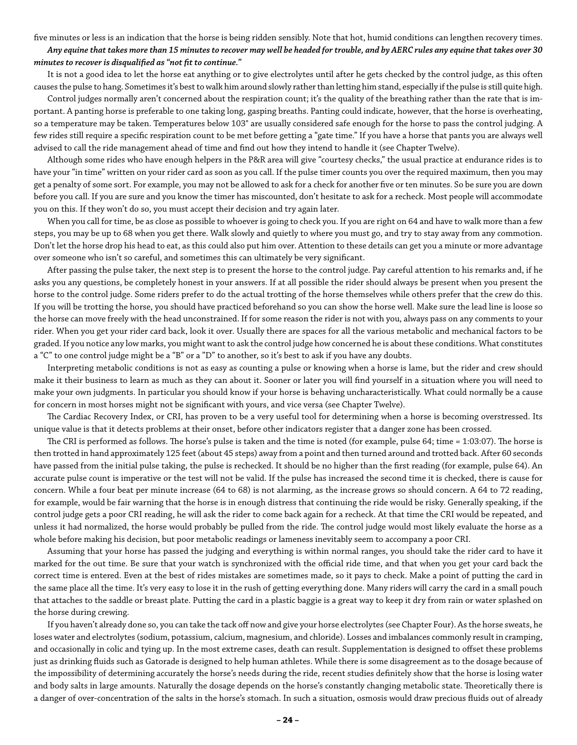five minutes or less is an indication that the horse is being ridden sensibly. Note that hot, humid conditions can lengthen recovery times.

### *Any equine that takes more than 15 minutes to recover may well be headed for trouble, and by AERC rules any equine that takes over 30 minutes to recover is disqualified as "not fit to continue."*

It is not a good idea to let the horse eat anything or to give electrolytes until after he gets checked by the control judge, as this often causes the pulse to hang. Sometimes it's best to walk him around slowly rather than letting him stand, especially if the pulse is still quite high.

Control judges normally aren't concerned about the respiration count; it's the quality of the breathing rather than the rate that is important. A panting horse is preferable to one taking long, gasping breaths. Panting could indicate, however, that the horse is overheating, so a temperature may be taken. Temperatures below 103° are usually considered safe enough for the horse to pass the control judging. A few rides still require a specific respiration count to be met before getting a "gate time." If you have a horse that pants you are always well advised to call the ride management ahead of time and find out how they intend to handle it (see Chapter Twelve).

Although some rides who have enough helpers in the P&R area will give "courtesy checks," the usual practice at endurance rides is to have your "in time" written on your rider card as soon as you call. If the pulse timer counts you over the required maximum, then you may get a penalty of some sort. For example, you may not be allowed to ask for a check for another five or ten minutes. So be sure you are down before you call. If you are sure and you know the timer has miscounted, don't hesitate to ask for a recheck. Most people will accommodate you on this. If they won't do so, you must accept their decision and try again later.

When you call for time, be as close as possible to whoever is going to check you. If you are right on 64 and have to walk more than a few steps, you may be up to 68 when you get there. Walk slowly and quietly to where you must go, and try to stay away from any commotion. Don't let the horse drop his head to eat, as this could also put him over. Attention to these details can get you a minute or more advantage over someone who isn't so careful, and sometimes this can ultimately be very significant.

After passing the pulse taker, the next step is to present the horse to the control judge. Pay careful attention to his remarks and, if he asks you any questions, be completely honest in your answers. If at all possible the rider should always be present when you present the horse to the control judge. Some riders prefer to do the actual trotting of the horse themselves while others prefer that the crew do this. If you will be trotting the horse, you should have practiced beforehand so you can show the horse well. Make sure the lead line is loose so the horse can move freely with the head unconstrained. If for some reason the rider is not with you, always pass on any comments to your rider. When you get your rider card back, look it over. Usually there are spaces for all the various metabolic and mechanical factors to be graded. If you notice any low marks, you might want to ask the control judge how concerned he is about these conditions. What constitutes a "C" to one control judge might be a "B" or a "D" to another, so it's best to ask if you have any doubts.

Interpreting metabolic conditions is not as easy as counting a pulse or knowing when a horse is lame, but the rider and crew should make it their business to learn as much as they can about it. Sooner or later you will find yourself in a situation where you will need to make your own judgments. In particular you should know if your horse is behaving uncharacteristically. What could normally be a cause for concern in most horses might not be significant with yours, and vice versa (see Chapter Twelve).

The Cardiac Recovery Index, or CRI, has proven to be a very useful tool for determining when a horse is becoming overstressed. Its unique value is that it detects problems at their onset, before other indicators register that a danger zone has been crossed.

The CRI is performed as follows. The horse's pulse is taken and the time is noted (for example, pulse 64; time = 1:03:07). The horse is then trotted in hand approximately 125 feet (about 45 steps) away from a point and then turned around and trotted back. After 60 seconds have passed from the initial pulse taking, the pulse is rechecked. It should be no higher than the first reading (for example, pulse 64). An accurate pulse count is imperative or the test will not be valid. If the pulse has increased the second time it is checked, there is cause for concern. While a four beat per minute increase (64 to 68) is not alarming, as the increase grows so should concern. A 64 to 72 reading, for example, would be fair warning that the horse is in enough distress that continuing the ride would be risky. Generally speaking, if the control judge gets a poor CRI reading, he will ask the rider to come back again for a recheck. At that time the CRI would be repeated, and unless it had normalized, the horse would probably be pulled from the ride. The control judge would most likely evaluate the horse as a whole before making his decision, but poor metabolic readings or lameness inevitably seem to accompany a poor CRI.

Assuming that your horse has passed the judging and everything is within normal ranges, you should take the rider card to have it marked for the out time. Be sure that your watch is synchronized with the official ride time, and that when you get your card back the correct time is entered. Even at the best of rides mistakes are sometimes made, so it pays to check. Make a point of putting the card in the same place all the time. It's very easy to lose it in the rush of getting everything done. Many riders will carry the card in a small pouch that attaches to the saddle or breast plate. Putting the card in a plastic baggie is a great way to keep it dry from rain or water splashed on the horse during crewing.

If you haven't already done so, you can take the tack off now and give your horse electrolytes (see Chapter Four). As the horse sweats, he loses water and electrolytes (sodium, potassium, calcium, magnesium, and chloride). Losses and imbalances commonly result in cramping, and occasionally in colic and tying up. In the most extreme cases, death can result. Supplementation is designed to offset these problems just as drinking fluids such as Gatorade is designed to help human athletes. While there is some disagreement as to the dosage because of the impossibility of determining accurately the horse's needs during the ride, recent studies definitely show that the horse is losing water and body salts in large amounts. Naturally the dosage depends on the horse's constantly changing metabolic state. Theoretically there is a danger of over-concentration of the salts in the horse's stomach. In such a situation, osmosis would draw precious fluids out of already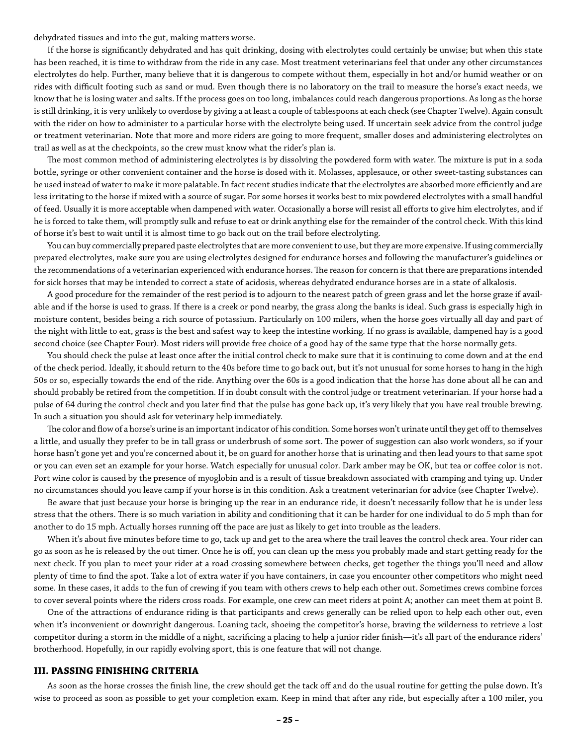dehydrated tissues and into the gut, making matters worse.

If the horse is significantly dehydrated and has quit drinking, dosing with electrolytes could certainly be unwise; but when this state has been reached, it is time to withdraw from the ride in any case. Most treatment veterinarians feel that under any other circumstances electrolytes do help. Further, many believe that it is dangerous to compete without them, especially in hot and/or humid weather or on rides with difficult footing such as sand or mud. Even though there is no laboratory on the trail to measure the horse's exact needs, we know that he is losing water and salts. If the process goes on too long, imbalances could reach dangerous proportions. As long as the horse is still drinking, it is very unlikely to overdose by giving a at least a couple of tablespoons at each check (see Chapter Twelve). Again consult with the rider on how to administer to a particular horse with the electrolyte being used. If uncertain seek advice from the control judge or treatment veterinarian. Note that more and more riders are going to more frequent, smaller doses and administering electrolytes on trail as well as at the checkpoints, so the crew must know what the rider's plan is.

The most common method of administering electrolytes is by dissolving the powdered form with water. The mixture is put in a soda bottle, syringe or other convenient container and the horse is dosed with it. Molasses, applesauce, or other sweet-tasting substances can be used instead of water to make it more palatable. In fact recent studies indicate that the electrolytes are absorbed more efficiently and are less irritating to the horse if mixed with a source of sugar. For some horses it works best to mix powdered electrolytes with a small handful of feed. Usually it is more acceptable when dampened with water. Occasionally a horse will resist all efforts to give him electrolytes, and if he is forced to take them, will promptly sulk and refuse to eat or drink anything else for the remainder of the control check. With this kind of horse it's best to wait until it is almost time to go back out on the trail before electrolyting.

You can buy commercially prepared paste electrolytes that are more convenient to use, but they are more expensive. If using commercially prepared electrolytes, make sure you are using electrolytes designed for endurance horses and following the manufacturer's guidelines or the recommendations of a veterinarian experienced with endurance horses. The reason for concern is that there are preparations intended for sick horses that may be intended to correct a state of acidosis, whereas dehydrated endurance horses are in a state of alkalosis.

A good procedure for the remainder of the rest period is to adjourn to the nearest patch of green grass and let the horse graze if available and if the horse is used to grass. If there is a creek or pond nearby, the grass along the banks is ideal. Such grass is especially high in moisture content, besides being a rich source of potassium. Particularly on 100 milers, when the horse goes virtually all day and part of the night with little to eat, grass is the best and safest way to keep the intestine working. If no grass is available, dampened hay is a good second choice (see Chapter Four). Most riders will provide free choice of a good hay of the same type that the horse normally gets.

You should check the pulse at least once after the initial control check to make sure that it is continuing to come down and at the end of the check period. Ideally, it should return to the 40s before time to go back out, but it's not unusual for some horses to hang in the high 50s or so, especially towards the end of the ride. Anything over the 60s is a good indication that the horse has done about all he can and should probably be retired from the competition. If in doubt consult with the control judge or treatment veterinarian. If your horse had a pulse of 64 during the control check and you later find that the pulse has gone back up, it's very likely that you have real trouble brewing. In such a situation you should ask for veterinary help immediately.

The color and flow of a horse's urine is an important indicator of his condition. Some horses won't urinate until they get off to themselves a little, and usually they prefer to be in tall grass or underbrush of some sort. The power of suggestion can also work wonders, so if your horse hasn't gone yet and you're concerned about it, be on guard for another horse that is urinating and then lead yours to that same spot or you can even set an example for your horse. Watch especially for unusual color. Dark amber may be OK, but tea or coffee color is not. Port wine color is caused by the presence of myoglobin and is a result of tissue breakdown associated with cramping and tying up. Under no circumstances should you leave camp if your horse is in this condition. Ask a treatment veterinarian for advice (see Chapter Twelve).

Be aware that just because your horse is bringing up the rear in an endurance ride, it doesn't necessarily follow that he is under less stress that the others. There is so much variation in ability and conditioning that it can be harder for one individual to do 5 mph than for another to do 15 mph. Actually horses running off the pace are just as likely to get into trouble as the leaders.

When it's about five minutes before time to go, tack up and get to the area where the trail leaves the control check area. Your rider can go as soon as he is released by the out timer. Once he is off, you can clean up the mess you probably made and start getting ready for the next check. If you plan to meet your rider at a road crossing somewhere between checks, get together the things you'll need and allow plenty of time to find the spot. Take a lot of extra water if you have containers, in case you encounter other competitors who might need some. In these cases, it adds to the fun of crewing if you team with others crews to help each other out. Sometimes crews combine forces to cover several points where the riders cross roads. For example, one crew can meet riders at point A; another can meet them at point B.

One of the attractions of endurance riding is that participants and crews generally can be relied upon to help each other out, even when it's inconvenient or downright dangerous. Loaning tack, shoeing the competitor's horse, braving the wilderness to retrieve a lost competitor during a storm in the middle of a night, sacrificing a placing to help a junior rider finish—it's all part of the endurance riders' brotherhood. Hopefully, in our rapidly evolving sport, this is one feature that will not change.

### **III. PASSING FINISHING CRITERIA**

As soon as the horse crosses the finish line, the crew should get the tack off and do the usual routine for getting the pulse down. It's wise to proceed as soon as possible to get your completion exam. Keep in mind that after any ride, but especially after a 100 miler, you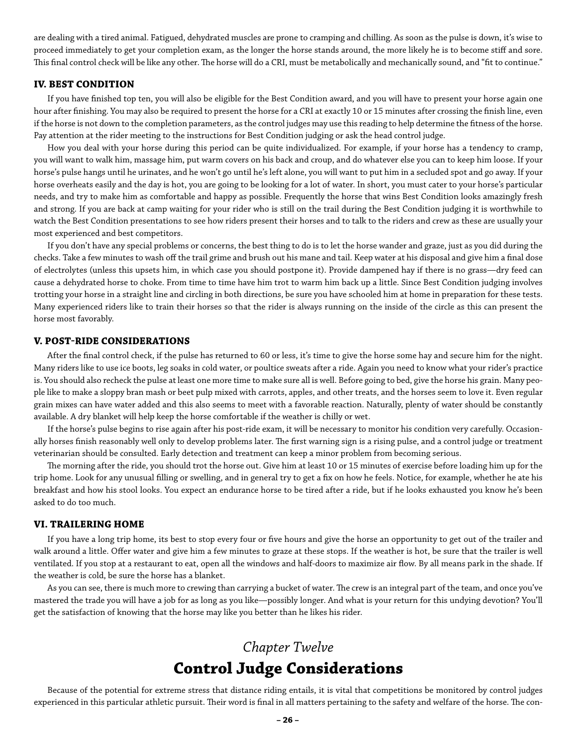are dealing with a tired animal. Fatigued, dehydrated muscles are prone to cramping and chilling. As soon as the pulse is down, it's wise to proceed immediately to get your completion exam, as the longer the horse stands around, the more likely he is to become stiff and sore. This final control check will be like any other. The horse will do a CRI, must be metabolically and mechanically sound, and "fit to continue."

#### **IV. BEST CONDITION**

If you have finished top ten, you will also be eligible for the Best Condition award, and you will have to present your horse again one hour after finishing. You may also be required to present the horse for a CRI at exactly 10 or 15 minutes after crossing the finish line, even if the horse is not down to the completion parameters, as the control judges may use this reading to help determine the fitness of the horse. Pay attention at the rider meeting to the instructions for Best Condition judging or ask the head control judge.

How you deal with your horse during this period can be quite individualized. For example, if your horse has a tendency to cramp, you will want to walk him, massage him, put warm covers on his back and croup, and do whatever else you can to keep him loose. If your horse's pulse hangs until he urinates, and he won't go until he's left alone, you will want to put him in a secluded spot and go away. If your horse overheats easily and the day is hot, you are going to be looking for a lot of water. In short, you must cater to your horse's particular needs, and try to make him as comfortable and happy as possible. Frequently the horse that wins Best Condition looks amazingly fresh and strong. If you are back at camp waiting for your rider who is still on the trail during the Best Condition judging it is worthwhile to watch the Best Condition presentations to see how riders present their horses and to talk to the riders and crew as these are usually your most experienced and best competitors.

If you don't have any special problems or concerns, the best thing to do is to let the horse wander and graze, just as you did during the checks. Take a few minutes to wash off the trail grime and brush out his mane and tail. Keep water at his disposal and give him a final dose of electrolytes (unless this upsets him, in which case you should postpone it). Provide dampened hay if there is no grass—dry feed can cause a dehydrated horse to choke. From time to time have him trot to warm him back up a little. Since Best Condition judging involves trotting your horse in a straight line and circling in both directions, be sure you have schooled him at home in preparation for these tests. Many experienced riders like to train their horses so that the rider is always running on the inside of the circle as this can present the horse most favorably.

### **V. POST-RIDE CONSIDERATIONS**

After the final control check, if the pulse has returned to 60 or less, it's time to give the horse some hay and secure him for the night. Many riders like to use ice boots, leg soaks in cold water, or poultice sweats after a ride. Again you need to know what your rider's practice is. You should also recheck the pulse at least one more time to make sure all is well. Before going to bed, give the horse his grain. Many people like to make a sloppy bran mash or beet pulp mixed with carrots, apples, and other treats, and the horses seem to love it. Even regular grain mixes can have water added and this also seems to meet with a favorable reaction. Naturally, plenty of water should be constantly available. A dry blanket will help keep the horse comfortable if the weather is chilly or wet.

If the horse's pulse begins to rise again after his post-ride exam, it will be necessary to monitor his condition very carefully. Occasionally horses finish reasonably well only to develop problems later. The first warning sign is a rising pulse, and a control judge or treatment veterinarian should be consulted. Early detection and treatment can keep a minor problem from becoming serious.

The morning after the ride, you should trot the horse out. Give him at least 10 or 15 minutes of exercise before loading him up for the trip home. Look for any unusual filling or swelling, and in general try to get a fix on how he feels. Notice, for example, whether he ate his breakfast and how his stool looks. You expect an endurance horse to be tired after a ride, but if he looks exhausted you know he's been asked to do too much.

### **VI. TRAILERING HOME**

If you have a long trip home, its best to stop every four or five hours and give the horse an opportunity to get out of the trailer and walk around a little. Offer water and give him a few minutes to graze at these stops. If the weather is hot, be sure that the trailer is well ventilated. If you stop at a restaurant to eat, open all the windows and half-doors to maximize air flow. By all means park in the shade. If the weather is cold, be sure the horse has a blanket.

As you can see, there is much more to crewing than carrying a bucket of water. The crew is an integral part of the team, and once you've mastered the trade you will have a job for as long as you like—possibly longer. And what is your return for this undying devotion? You'll get the satisfaction of knowing that the horse may like you better than he likes his rider.

# *Chapter Twelve* **Control Judge Considerations**

Because of the potential for extreme stress that distance riding entails, it is vital that competitions be monitored by control judges experienced in this particular athletic pursuit. Their word is final in all matters pertaining to the safety and welfare of the horse. The con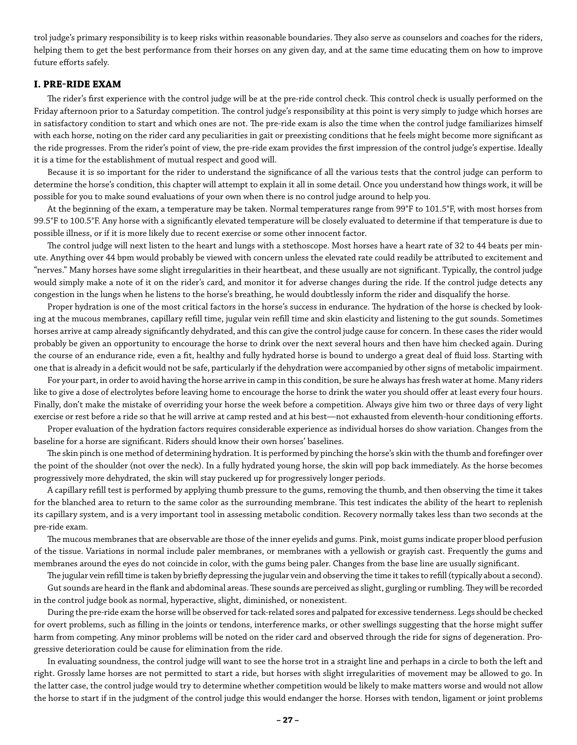trol judge's primary responsibility is to keep risks within reasonable boundaries. They also serve as counselors and coaches for the riders, helping them to get the best performance from their horses on any given day, and at the same time educating them on how to improve future efforts safely.

#### **I. PRE-RIDE EXAM**

The rider's first experience with the control judge will be at the pre-ride control check. This control check is usually performed on the Friday afternoon prior to a Saturday competition. The control judge's responsibility at this point is very simply to judge which horses are in satisfactory condition to start and which ones are not. The pre-ride exam is also the time when the control judge familiarizes himself with each horse, noting on the rider card any peculiarities in gait or preexisting conditions that he feels might become more significant as the ride progresses. From the rider's point of view, the pre-ride exam provides the first impression of the control judge's expertise. Ideally it is a time for the establishment of mutual respect and good will.

Because it is so important for the rider to understand the significance of all the various tests that the control judge can perform to determine the horse's condition, this chapter will attempt to explain it all in some detail. Once you understand how things work, it will be possible for you to make sound evaluations of your own when there is no control judge around to help you.

At the beginning of the exam, a temperature may be taken. Normal temperatures range from 99°F to 101.5°F, with most horses from 99.5°F to 100.5°F. Any horse with a significantly elevated temperature will be closely evaluated to determine if that temperature is due to possible illness, or if it is more likely due to recent exercise or some other innocent factor.

The control judge will next listen to the heart and lungs with a stethoscope. Most horses have a heart rate of 32 to 44 beats per minute. Anything over 44 bpm would probably be viewed with concern unless the elevated rate could readily be attributed to excitement and "nerves." Many horses have some slight irregularities in their heartbeat, and these usually are not significant. Typically, the control judge would simply make a note of it on the rider's card, and monitor it for adverse changes during the ride. If the control judge detects any congestion in the lungs when he listens to the horse's breathing, he would doubtlessly inform the rider and disqualify the horse.

Proper hydration is one of the most critical factors in the horse's success in endurance. The hydration of the horse is checked by looking at the mucous membranes, capillary refill time, jugular vein refill time and skin elasticity and listening to the gut sounds. Sometimes horses arrive at camp already significantly dehydrated, and this can give the control judge cause for concern. In these cases the rider would probably be given an opportunity to encourage the horse to drink over the next several hours and then have him checked again. During the course of an endurance ride, even a fit, healthy and fully hydrated horse is bound to undergo a great deal of fluid loss. Starting with one that is already in a deficit would not be safe, particularly if the dehydration were accompanied by other signs of metabolic impairment.

For your part, in order to avoid having the horse arrive in camp in this condition, be sure he always has fresh water at home. Many riders like to give a dose of electrolytes before leaving home to encourage the horse to drink the water you should offer at least every four hours. Finally, don't make the mistake of overriding your horse the week before a competition. Always give him two or three days of very light exercise or rest before a ride so that he will arrive at camp rested and at his best—not exhausted from eleventh-hour conditioning efforts.

Proper evaluation of the hydration factors requires considerable experience as individual horses do show variation. Changes from the baseline for a horse are significant. Riders should know their own horses' baselines.

The skin pinch is one method of determining hydration. It is performed by pinching the horse's skin with the thumb and forefinger over the point of the shoulder (not over the neck). In a fully hydrated young horse, the skin will pop back immediately. As the horse becomes progressively more dehydrated, the skin will stay puckered up for progressively longer periods.

A capillary refill test is performed by applying thumb pressure to the gums, removing the thumb, and then observing the time it takes for the blanched area to return to the same color as the surrounding membrane. This test indicates the ability of the heart to replenish its capillary system, and is a very important tool in assessing metabolic condition. Recovery normally takes less than two seconds at the pre-ride exam.

The mucous membranes that are observable are those of the inner eyelids and gums. Pink, moist gums indicate proper blood perfusion of the tissue. Variations in normal include paler membranes, or membranes with a yellowish or grayish cast. Frequently the gums and membranes around the eyes do not coincide in color, with the gums being paler. Changes from the base line are usually significant.

The jugular vein refill time is taken by briefly depressing the jugular vein and observing the time it takes to refill (typically about a second). Gut sounds are heard in the flank and abdominal areas. These sounds are perceived as slight, gurgling or rumbling. They will be recorded

in the control judge book as normal, hyperactive, slight, diminished, or nonexistent.

During the pre-ride exam the horse will be observed for tack-related sores and palpated for excessive tenderness. Legs should be checked for overt problems, such as filling in the joints or tendons, interference marks, or other swellings suggesting that the horse might suffer harm from competing. Any minor problems will be noted on the rider card and observed through the ride for signs of degeneration. Progressive deterioration could be cause for elimination from the ride.

In evaluating soundness, the control judge will want to see the horse trot in a straight line and perhaps in a circle to both the left and right. Grossly lame horses are not permitted to start a ride, but horses with slight irregularities of movement may be allowed to go. In the latter case, the control judge would try to determine whether competition would be likely to make matters worse and would not allow the horse to start if in the judgment of the control judge this would endanger the horse. Horses with tendon, ligament or joint problems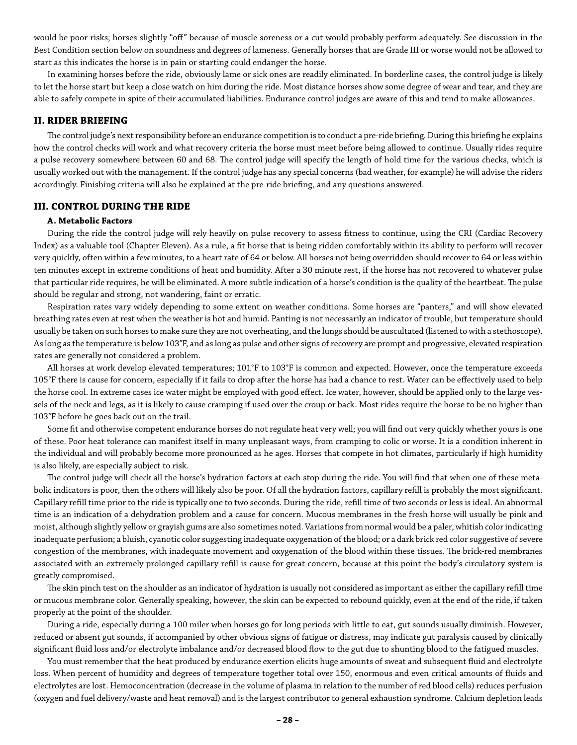would be poor risks; horses slightly "off" because of muscle soreness or a cut would probably perform adequately. See discussion in the Best Condition section below on soundness and degrees of lameness. Generally horses that are Grade III or worse would not be allowed to start as this indicates the horse is in pain or starting could endanger the horse.

In examining horses before the ride, obviously lame or sick ones are readily eliminated. In borderline cases, the control judge is likely to let the horse start but keep a close watch on him during the ride. Most distance horses show some degree of wear and tear, and they are able to safely compete in spite of their accumulated liabilities. Endurance control judges are aware of this and tend to make allowances.

### **II. RIDER BRIEFING**

The control judge's next responsibility before an endurance competition is to conduct a pre-ride briefing. During this briefing he explains how the control checks will work and what recovery criteria the horse must meet before being allowed to continue. Usually rides require a pulse recovery somewhere between 60 and 68. The control judge will specify the length of hold time for the various checks, which is usually worked out with the management. If the control judge has any special concerns (bad weather, for example) he will advise the riders accordingly. Finishing criteria will also be explained at the pre-ride briefing, and any questions answered.

### **III. CONTROL DURING THE RIDE**

#### **A. Metabolic Factors**

During the ride the control judge will rely heavily on pulse recovery to assess fitness to continue, using the CRI (Cardiac Recovery Index) as a valuable tool (Chapter Eleven). As a rule, a fit horse that is being ridden comfortably within its ability to perform will recover very quickly, often within a few minutes, to a heart rate of 64 or below. All horses not being overridden should recover to 64 or less within ten minutes except in extreme conditions of heat and humidity. After a 30 minute rest, if the horse has not recovered to whatever pulse that particular ride requires, he will be eliminated. A more subtle indication of a horse's condition is the quality of the heartbeat. The pulse should be regular and strong, not wandering, faint or erratic.

Respiration rates vary widely depending to some extent on weather conditions. Some horses are "panters," and will show elevated breathing rates even at rest when the weather is hot and humid. Panting is not necessarily an indicator of trouble, but temperature should usually be taken on such horses to make sure they are not overheating, and the lungs should be auscultated (listened to with a stethoscope). As long as the temperature is below 103°F, and as long as pulse and other signs of recovery are prompt and progressive, elevated respiration rates are generally not considered a problem.

All horses at work develop elevated temperatures; 101°F to 103°F is common and expected. However, once the temperature exceeds 105°F there is cause for concern, especially if it fails to drop after the horse has had a chance to rest. Water can be effectively used to help the horse cool. In extreme cases ice water might be employed with good effect. Ice water, however, should be applied only to the large vessels of the neck and legs, as it is likely to cause cramping if used over the croup or back. Most rides require the horse to be no higher than 103°F before he goes back out on the trail.

Some fit and otherwise competent endurance horses do not regulate heat very well; you will find out very quickly whether yours is one of these. Poor heat tolerance can manifest itself in many unpleasant ways, from cramping to colic or worse. It is a condition inherent in the individual and will probably become more pronounced as he ages. Horses that compete in hot climates, particularly if high humidity is also likely, are especially subject to risk.

The control judge will check all the horse's hydration factors at each stop during the ride. You will find that when one of these metabolic indicators is poor, then the others will likely also be poor. Of all the hydration factors, capillary refill is probably the most significant. Capillary refill time prior to the ride is typically one to two seconds. During the ride, refill time of two seconds or less is ideal. An abnormal time is an indication of a dehydration problem and a cause for concern. Mucous membranes in the fresh horse will usually be pink and moist, although slightly yellow or grayish gums are also sometimes noted. Variations from normal would be a paler, whitish color indicating inadequate perfusion; a bluish, cyanotic color suggesting inadequate oxygenation of the blood; or a dark brick red color suggestive of severe congestion of the membranes, with inadequate movement and oxygenation of the blood within these tissues. The brick-red membranes associated with an extremely prolonged capillary refill is cause for great concern, because at this point the body's circulatory system is greatly compromised.

The skin pinch test on the shoulder as an indicator of hydration is usually not considered as important as either the capillary refill time or mucous membrane color. Generally speaking, however, the skin can be expected to rebound quickly, even at the end of the ride, if taken properly at the point of the shoulder.

During a ride, especially during a 100 miler when horses go for long periods with little to eat, gut sounds usually diminish. However, reduced or absent gut sounds, if accompanied by other obvious signs of fatigue or distress, may indicate gut paralysis caused by clinically significant fluid loss and/or electrolyte imbalance and/or decreased blood flow to the gut due to shunting blood to the fatigued muscles.

You must remember that the heat produced by endurance exertion elicits huge amounts of sweat and subsequent fluid and electrolyte loss. When percent of humidity and degrees of temperature together total over 150, enormous and even critical amounts of fluids and electrolytes are lost. Hemoconcentration (decrease in the volume of plasma in relation to the number of red blood cells) reduces perfusion (oxygen and fuel delivery/waste and heat removal) and is the largest contributor to general exhaustion syndrome. Calcium depletion leads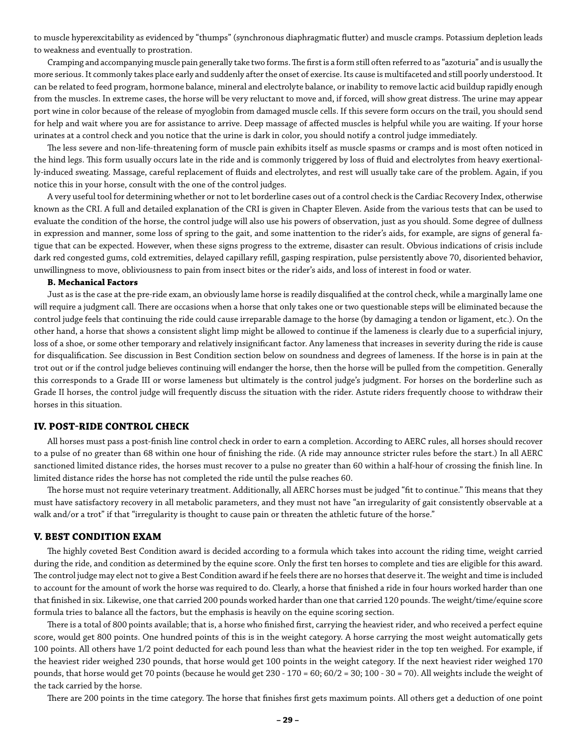to muscle hyperexcitability as evidenced by "thumps" (synchronous diaphragmatic flutter) and muscle cramps. Potassium depletion leads to weakness and eventually to prostration.

Cramping and accompanying muscle pain generally take two forms. The first is a form still often referred to as "azoturia" and is usually the more serious. It commonly takes place early and suddenly after the onset of exercise. Its cause is multifaceted and still poorly understood. It can be related to feed program, hormone balance, mineral and electrolyte balance, or inability to remove lactic acid buildup rapidly enough from the muscles. In extreme cases, the horse will be very reluctant to move and, if forced, will show great distress. The urine may appear port wine in color because of the release of myoglobin from damaged muscle cells. If this severe form occurs on the trail, you should send for help and wait where you are for assistance to arrive. Deep massage of affected muscles is helpful while you are waiting. If your horse urinates at a control check and you notice that the urine is dark in color, you should notify a control judge immediately.

The less severe and non-life-threatening form of muscle pain exhibits itself as muscle spasms or cramps and is most often noticed in the hind legs. This form usually occurs late in the ride and is commonly triggered by loss of fluid and electrolytes from heavy exertionally-induced sweating. Massage, careful replacement of fluids and electrolytes, and rest will usually take care of the problem. Again, if you notice this in your horse, consult with the one of the control judges.

A very useful tool for determining whether or not to let borderline cases out of a control check is the Cardiac Recovery Index, otherwise known as the CRI. A full and detailed explanation of the CRI is given in Chapter Eleven. Aside from the various tests that can be used to evaluate the condition of the horse, the control judge will also use his powers of observation, just as you should. Some degree of dullness in expression and manner, some loss of spring to the gait, and some inattention to the rider's aids, for example, are signs of general fatigue that can be expected. However, when these signs progress to the extreme, disaster can result. Obvious indications of crisis include dark red congested gums, cold extremities, delayed capillary refill, gasping respiration, pulse persistently above 70, disoriented behavior, unwillingness to move, obliviousness to pain from insect bites or the rider's aids, and loss of interest in food or water.

#### **B. Mechanical Factors**

Just as is the case at the pre-ride exam, an obviously lame horse is readily disqualified at the control check, while a marginally lame one will require a judgment call. There are occasions when a horse that only takes one or two questionable steps will be eliminated because the control judge feels that continuing the ride could cause irreparable damage to the horse (by damaging a tendon or ligament, etc.). On the other hand, a horse that shows a consistent slight limp might be allowed to continue if the lameness is clearly due to a superficial injury, loss of a shoe, or some other temporary and relatively insignificant factor. Any lameness that increases in severity during the ride is cause for disqualification. See discussion in Best Condition section below on soundness and degrees of lameness. If the horse is in pain at the trot out or if the control judge believes continuing will endanger the horse, then the horse will be pulled from the competition. Generally this corresponds to a Grade III or worse lameness but ultimately is the control judge's judgment. For horses on the borderline such as Grade II horses, the control judge will frequently discuss the situation with the rider. Astute riders frequently choose to withdraw their horses in this situation.

### **IV. POST-RIDE CONTROL CHECK**

All horses must pass a post-finish line control check in order to earn a completion. According to AERC rules, all horses should recover to a pulse of no greater than 68 within one hour of finishing the ride. (A ride may announce stricter rules before the start.) In all AERC sanctioned limited distance rides, the horses must recover to a pulse no greater than 60 within a half-hour of crossing the finish line. In limited distance rides the horse has not completed the ride until the pulse reaches 60.

The horse must not require veterinary treatment. Additionally, all AERC horses must be judged "fit to continue." This means that they must have satisfactory recovery in all metabolic parameters, and they must not have "an irregularity of gait consistently observable at a walk and/or a trot" if that "irregularity is thought to cause pain or threaten the athletic future of the horse."

#### **V. BEST CONDITION EXAM**

The highly coveted Best Condition award is decided according to a formula which takes into account the riding time, weight carried during the ride, and condition as determined by the equine score. Only the first ten horses to complete and ties are eligible for this award. The control judge may elect not to give a Best Condition award if he feels there are no horses that deserve it. The weight and time is included to account for the amount of work the horse was required to do. Clearly, a horse that finished a ride in four hours worked harder than one that finished in six. Likewise, one that carried 200 pounds worked harder than one that carried 120 pounds. The weight/time/equine score formula tries to balance all the factors, but the emphasis is heavily on the equine scoring section.

There is a total of 800 points available; that is, a horse who finished first, carrying the heaviest rider, and who received a perfect equine score, would get 800 points. One hundred points of this is in the weight category. A horse carrying the most weight automatically gets 100 points. All others have 1/2 point deducted for each pound less than what the heaviest rider in the top ten weighed. For example, if the heaviest rider weighed 230 pounds, that horse would get 100 points in the weight category. If the next heaviest rider weighed 170 pounds, that horse would get 70 points (because he would get 230 - 170 = 60; 60/2 = 30; 100 - 30 = 70). All weights include the weight of the tack carried by the horse.

There are 200 points in the time category. The horse that finishes first gets maximum points. All others get a deduction of one point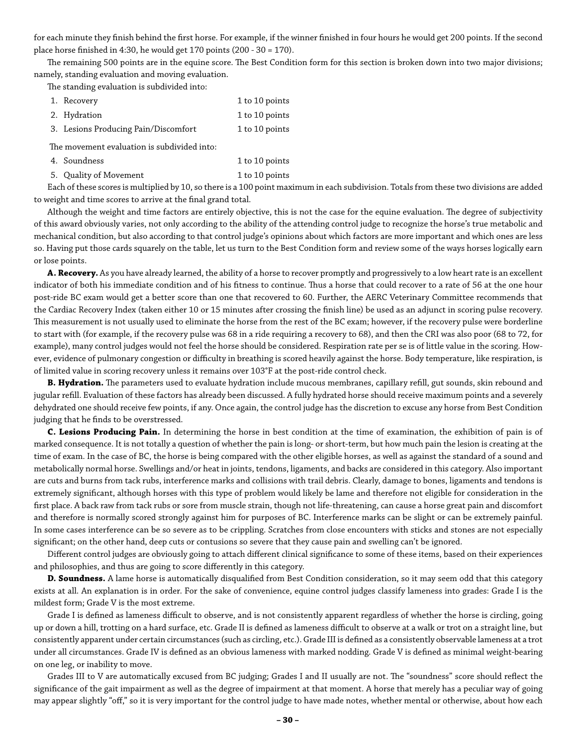for each minute they finish behind the first horse. For example, if the winner finished in four hours he would get 200 points. If the second place horse finished in 4:30, he would get 170 points (200 - 30 = 170).

The remaining 500 points are in the equine score. The Best Condition form for this section is broken down into two major divisions; namely, standing evaluation and moving evaluation.

The standing evaluation is subdivided into:

| 1. Recovery                          | 1 to 10 points |
|--------------------------------------|----------------|
| 2. Hydration                         | 1 to 10 points |
| 3. Lesions Producing Pain/Discomfort | 1 to 10 points |

The movement evaluation is subdivided into:

| 4. Soundness           | 1 to 10 points |
|------------------------|----------------|
| 5. Quality of Movement | 1 to 10 points |

Each of these scores is multiplied by 10, so there is a 100 point maximum in each subdivision. Totals from these two divisions are added to weight and time scores to arrive at the final grand total.

Although the weight and time factors are entirely objective, this is not the case for the equine evaluation. The degree of subjectivity of this award obviously varies, not only according to the ability of the attending control judge to recognize the horse's true metabolic and mechanical condition, but also according to that control judge's opinions about which factors are more important and which ones are less so. Having put those cards squarely on the table, let us turn to the Best Condition form and review some of the ways horses logically earn or lose points.

**A. Recovery.** As you have already learned, the ability of a horse to recover promptly and progressively to a low heart rate is an excellent indicator of both his immediate condition and of his fitness to continue. Thus a horse that could recover to a rate of 56 at the one hour post-ride BC exam would get a better score than one that recovered to 60. Further, the AERC Veterinary Committee recommends that the Cardiac Recovery Index (taken either 10 or 15 minutes after crossing the finish line) be used as an adjunct in scoring pulse recovery. This measurement is not usually used to eliminate the horse from the rest of the BC exam; however, if the recovery pulse were borderline to start with (for example, if the recovery pulse was 68 in a ride requiring a recovery to 68), and then the CRI was also poor (68 to 72, for example), many control judges would not feel the horse should be considered. Respiration rate per se is of little value in the scoring. However, evidence of pulmonary congestion or difficulty in breathing is scored heavily against the horse. Body temperature, like respiration, is of limited value in scoring recovery unless it remains over 103°F at the post-ride control check.

B. Hydration. The parameters used to evaluate hydration include mucous membranes, capillary refill, gut sounds, skin rebound and jugular refill. Evaluation of these factors has already been discussed. A fully hydrated horse should receive maximum points and a severely dehydrated one should receive few points, if any. Once again, the control judge has the discretion to excuse any horse from Best Condition judging that he finds to be overstressed.

**C. Lesions Producing Pain.** In determining the horse in best condition at the time of examination, the exhibition of pain is of marked consequence. It is not totally a question of whether the pain is long- or short-term, but how much pain the lesion is creating at the time of exam. In the case of BC, the horse is being compared with the other eligible horses, as well as against the standard of a sound and metabolically normal horse. Swellings and/or heat in joints, tendons, ligaments, and backs are considered in this category. Also important are cuts and burns from tack rubs, interference marks and collisions with trail debris. Clearly, damage to bones, ligaments and tendons is extremely significant, although horses with this type of problem would likely be lame and therefore not eligible for consideration in the first place. A back raw from tack rubs or sore from muscle strain, though not life-threatening, can cause a horse great pain and discomfort and therefore is normally scored strongly against him for purposes of BC. Interference marks can be slight or can be extremely painful. In some cases interference can be so severe as to be crippling. Scratches from close encounters with sticks and stones are not especially significant; on the other hand, deep cuts or contusions so severe that they cause pain and swelling can't be ignored.

Different control judges are obviously going to attach different clinical significance to some of these items, based on their experiences and philosophies, and thus are going to score differently in this category.

**D. Soundness.** A lame horse is automatically disqualified from Best Condition consideration, so it may seem odd that this category exists at all. An explanation is in order. For the sake of convenience, equine control judges classify lameness into grades: Grade I is the mildest form; Grade V is the most extreme.

Grade I is defined as lameness difficult to observe, and is not consistently apparent regardless of whether the horse is circling, going up or down a hill, trotting on a hard surface, etc. Grade II is defined as lameness difficult to observe at a walk or trot on a straight line, but consistently apparent under certain circumstances (such as circling, etc.). Grade III is defined as a consistently observable lameness at a trot under all circumstances. Grade IV is defined as an obvious lameness with marked nodding. Grade V is defined as minimal weight-bearing on one leg, or inability to move.

Grades III to V are automatically excused from BC judging; Grades I and II usually are not. The "soundness" score should reflect the significance of the gait impairment as well as the degree of impairment at that moment. A horse that merely has a peculiar way of going may appear slightly "off," so it is very important for the control judge to have made notes, whether mental or otherwise, about how each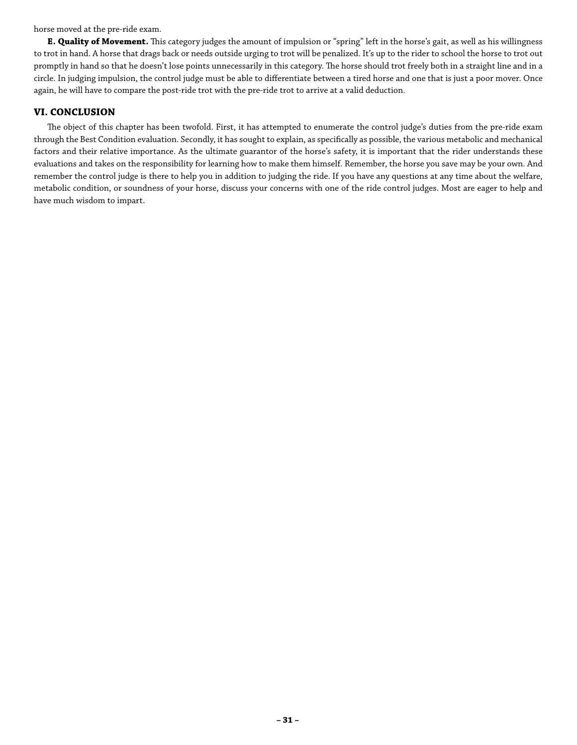horse moved at the pre-ride exam.

**E. Quality of Movement.** This category judges the amount of impulsion or "spring" left in the horse's gait, as well as his willingness to trot in hand. A horse that drags back or needs outside urging to trot will be penalized. It's up to the rider to school the horse to trot out promptly in hand so that he doesn't lose points unnecessarily in this category. The horse should trot freely both in a straight line and in a circle. In judging impulsion, the control judge must be able to differentiate between a tired horse and one that is just a poor mover. Once again, he will have to compare the post-ride trot with the pre-ride trot to arrive at a valid deduction.

### **VI. CONCLUSION**

The object of this chapter has been twofold. First, it has attempted to enumerate the control judge's duties from the pre-ride exam through the Best Condition evaluation. Secondly, it has sought to explain, as specifically as possible, the various metabolic and mechanical factors and their relative importance. As the ultimate guarantor of the horse's safety, it is important that the rider understands these evaluations and takes on the responsibility for learning how to make them himself. Remember, the horse you save may be your own. And remember the control judge is there to help you in addition to judging the ride. If you have any questions at any time about the welfare, metabolic condition, or soundness of your horse, discuss your concerns with one of the ride control judges. Most are eager to help and have much wisdom to impart.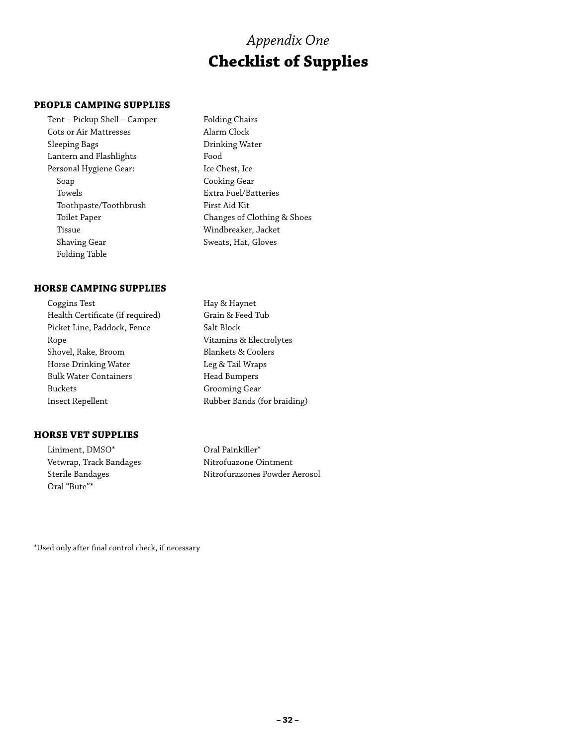# *Appendix One* **Checklist of Supplies**

### **PEOPLE CAMPING SUPPLIES**

Tent – Pickup Shell – Camper Folding Chairs Cots or Air Mattresses Alarm Clock Sleeping Bags **Drinking Water** Lantern and Flashlights Food Personal Hygiene Gear: Ice Chest, Ice Soap Cooking Gear Towels Extra Fuel/Batteries Toothpaste/Toothbrush First Aid Kit Tissue Windbreaker, Jacket Shaving Gear Sweats, Hat, Gloves Folding Table

Toilet Paper Changes of Clothing & Shoes

### **HORSE CAMPING SUPPLIES**

Coggins Test **Hay & Haynet** Health Certificate (if required) Grain & Feed Tub Picket Line, Paddock, Fence Salt Block Rope **Vitamins & Electrolytes** Shovel, Rake, Broom Blankets & Coolers Horse Drinking Water **Leg & Tail Wraps** Bulk Water Containers **Head Bumpers** Buckets Grooming Gear Insect Repellent Rubber Bands (for braiding)

### **HORSE VET SUPPLIES**

Liniment, DMSO\* Oral Painkiller\* Vetwrap, Track Bandages Nitrofuazone Ointment Oral "Bute"\*

Sterile Bandages Nitrofurazones Powder Aerosol

\*Used only after final control check, if necessary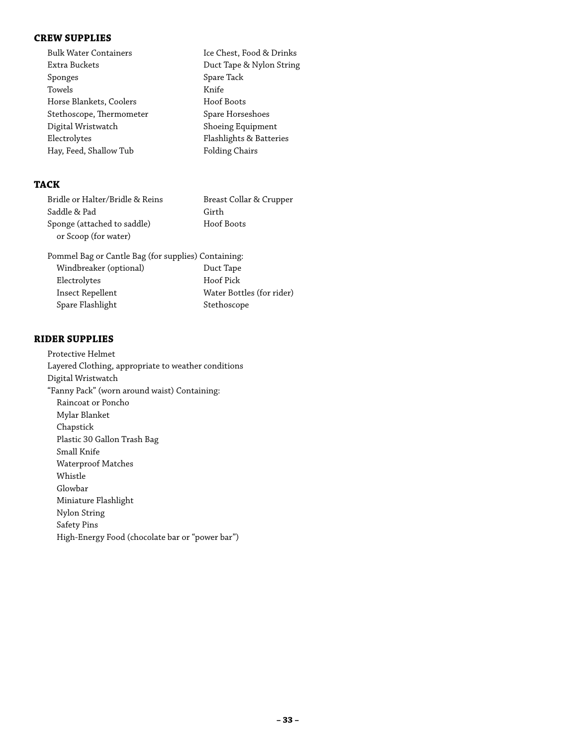### **CREW SUPPLIES**

| <b>Bulk Water Containers</b> | Ice Chest, Food & Drinks |
|------------------------------|--------------------------|
| Extra Buckets                | Duct Tape & Nylon String |
| Sponges                      | Spare Tack               |
| Towels                       | Knife                    |
| Horse Blankets, Coolers      | Hoof Boots               |
| Stethoscope, Thermometer     | Spare Horseshoes         |
| Digital Wristwatch           | Shoeing Equipment        |
| Electrolytes                 | Flashlights & Batteries  |
| Hay, Feed, Shallow Tub       | Folding Chairs           |
|                              |                          |

### **TACK**

| Bridle or Halter/Bridle & Reins | Breast Collar & Crupper |
|---------------------------------|-------------------------|
| Saddle & Pad                    | Girth                   |
| Sponge (attached to saddle)     | Hoof Boots              |
| or Scoop (for water)            |                         |
|                                 |                         |

| Pommel Bag or Cantle Bag (for supplies) Containing: |                           |
|-----------------------------------------------------|---------------------------|
| Windbreaker (optional)                              | Duct Tape                 |
| Electrolytes                                        | Hoof Pick                 |
| Insect Repellent                                    | Water Bottles (for rider) |
| Spare Flashlight                                    | Stethoscope               |

### **RIDER SUPPLIES**

Protective Helmet Layered Clothing, appropriate to weather conditions Digital Wristwatch "Fanny Pack" (worn around waist) Containing: Raincoat or Poncho Mylar Blanket Chapstick Plastic 30 Gallon Trash Bag Small Knife Waterproof Matches Whistle Glowbar Miniature Flashlight Nylon String Safety Pins High-Energy Food (chocolate bar or "power bar")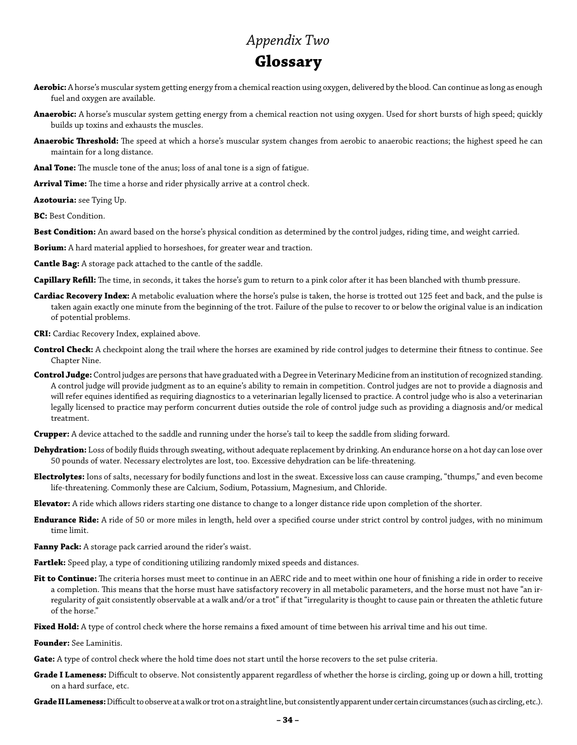### *Appendix Two*

### **Glossary**

- **Aerobic:** A horse's muscular system getting energy from a chemical reaction using oxygen, delivered by the blood. Can continue as long as enough fuel and oxygen are available.
- **Anaerobic:** A horse's muscular system getting energy from a chemical reaction not using oxygen. Used for short bursts of high speed; quickly builds up toxins and exhausts the muscles.
- **Anaerobic Threshold:** The speed at which a horse's muscular system changes from aerobic to anaerobic reactions; the highest speed he can maintain for a long distance.

**Anal Tone:** The muscle tone of the anus; loss of anal tone is a sign of fatigue.

**Arrival Time:** The time a horse and rider physically arrive at a control check.

**Azotouria:** see Tying Up.

**BC:** Best Condition.

- **Best Condition:** An award based on the horse's physical condition as determined by the control judges, riding time, and weight carried.
- **Borium:** A hard material applied to horseshoes, for greater wear and traction.
- **Cantle Bag:** A storage pack attached to the cantle of the saddle.
- **Capillary Refill:** The time, in seconds, it takes the horse's gum to return to a pink color after it has been blanched with thumb pressure.
- **Cardiac Recovery Index:** A metabolic evaluation where the horse's pulse is taken, the horse is trotted out 125 feet and back, and the pulse is taken again exactly one minute from the beginning of the trot. Failure of the pulse to recover to or below the original value is an indication of potential problems.
- **CRI:** Cardiac Recovery Index, explained above.
- **Control Check:** A checkpoint along the trail where the horses are examined by ride control judges to determine their fitness to continue. See Chapter Nine.
- **Control Judge:** Control judges are persons that have graduated with a Degree in Veterinary Medicine from an institution of recognized standing. A control judge will provide judgment as to an equine's ability to remain in competition. Control judges are not to provide a diagnosis and will refer equines identified as requiring diagnostics to a veterinarian legally licensed to practice. A control judge who is also a veterinarian legally licensed to practice may perform concurrent duties outside the role of control judge such as providing a diagnosis and/or medical treatment.
- **Crupper:** A device attached to the saddle and running under the horse's tail to keep the saddle from sliding forward.
- **Dehydration:** Loss of bodily fluids through sweating, without adequate replacement by drinking. An endurance horse on a hot day can lose over 50 pounds of water. Necessary electrolytes are lost, too. Excessive dehydration can be life-threatening.
- **Electrolytes:** Ions of salts, necessary for bodily functions and lost in the sweat. Excessive loss can cause cramping, "thumps," and even become life-threatening. Commonly these are Calcium, Sodium, Potassium, Magnesium, and Chloride.
- **Elevator:** A ride which allows riders starting one distance to change to a longer distance ride upon completion of the shorter.
- **Endurance Ride:** A ride of 50 or more miles in length, held over a specified course under strict control by control judges, with no minimum time limit.
- **Fanny Pack:** A storage pack carried around the rider's waist.
- **Fartlek:** Speed play, a type of conditioning utilizing randomly mixed speeds and distances.
- **Fit to Continue:** The criteria horses must meet to continue in an AERC ride and to meet within one hour of finishing a ride in order to receive a completion. This means that the horse must have satisfactory recovery in all metabolic parameters, and the horse must not have "an irregularity of gait consistently observable at a walk and/or a trot" if that "irregularity is thought to cause pain or threaten the athletic future of the horse."
- **Fixed Hold:** A type of control check where the horse remains a fixed amount of time between his arrival time and his out time.

**Founder:** See Laminitis.

- Gate: A type of control check where the hold time does not start until the horse recovers to the set pulse criteria.
- **Grade I Lameness:** Difficult to observe. Not consistently apparent regardless of whether the horse is circling, going up or down a hill, trotting on a hard surface, etc.
- **Grade II Lameness:** Difficult to observe at a walk or trot on a straight line, but consistently apparent under certain circumstances (such as circling, etc.).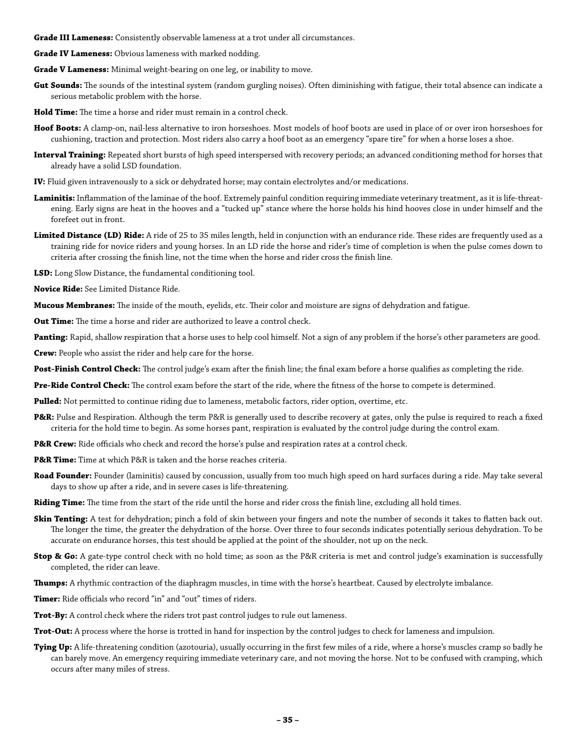**Grade III Lameness:** Consistently observable lameness at a trot under all circumstances.

- **Grade IV Lameness:** Obvious lameness with marked nodding.
- **Grade V Lameness:** Minimal weight-bearing on one leg, or inability to move.
- Gut Sounds: The sounds of the intestinal system (random gurgling noises). Often diminishing with fatigue, their total absence can indicate a serious metabolic problem with the horse.
- **Hold Time:** The time a horse and rider must remain in a control check.
- **Hoof Boots:** A clamp-on, nail-less alternative to iron horseshoes. Most models of hoof boots are used in place of or over iron horseshoes for cushioning, traction and protection. Most riders also carry a hoof boot as an emergency "spare tire" for when a horse loses a shoe.
- **Interval Training:** Repeated short bursts of high speed interspersed with recovery periods; an advanced conditioning method for horses that already have a solid LSD foundation.
- **IV:** Fluid given intravenously to a sick or dehydrated horse; may contain electrolytes and/or medications.
- **Laminitis:** Inflammation of the laminae of the hoof. Extremely painful condition requiring immediate veterinary treatment, as it is life-threatening. Early signs are heat in the hooves and a "tucked up" stance where the horse holds his hind hooves close in under himself and the forefeet out in front.
- Limited Distance (LD) Ride: A ride of 25 to 35 miles length, held in conjunction with an endurance ride. These rides are frequently used as a training ride for novice riders and young horses. In an LD ride the horse and rider's time of completion is when the pulse comes down to criteria after crossing the finish line, not the time when the horse and rider cross the finish line.
- **LSD:** Long Slow Distance, the fundamental conditioning tool.
- **Novice Ride:** See Limited Distance Ride.
- **Mucous Membranes:** The inside of the mouth, eyelids, etc. Their color and moisture are signs of dehydration and fatigue.
- **Out Time:** The time a horse and rider are authorized to leave a control check.
- Panting: Rapid, shallow respiration that a horse uses to help cool himself. Not a sign of any problem if the horse's other parameters are good.

**Crew:** People who assist the rider and help care for the horse.

- **Post-Finish Control Check:** The control judge's exam after the finish line; the final exam before a horse qualifies as completing the ride.
- **Pre-Ride Control Check:** The control exam before the start of the ride, where the fitness of the horse to compete is determined.
- **Pulled:** Not permitted to continue riding due to lameness, metabolic factors, rider option, overtime, etc.
- **P&R:** Pulse and Respiration. Although the term P&R is generally used to describe recovery at gates, only the pulse is required to reach a fixed criteria for the hold time to begin. As some horses pant, respiration is evaluated by the control judge during the control exam.
- P&R Crew: Ride officials who check and record the horse's pulse and respiration rates at a control check.
- **P&R Time:** Time at which P&R is taken and the horse reaches criteria.
- **Road Founder:** Founder (laminitis) caused by concussion, usually from too much high speed on hard surfaces during a ride. May take several days to show up after a ride, and in severe cases is life-threatening.
- **Riding Time:** The time from the start of the ride until the horse and rider cross the finish line, excluding all hold times.
- **Skin Tenting:** A test for dehydration; pinch a fold of skin between your fingers and note the number of seconds it takes to flatten back out. The longer the time, the greater the dehydration of the horse. Over three to four seconds indicates potentially serious dehydration. To be accurate on endurance horses, this test should be applied at the point of the shoulder, not up on the neck.
- **Stop & Go:** A gate-type control check with no hold time; as soon as the P&R criteria is met and control judge's examination is successfully completed, the rider can leave.
- **Thumps:** A rhythmic contraction of the diaphragm muscles, in time with the horse's heartbeat. Caused by electrolyte imbalance.

**Timer:** Ride officials who record "in" and "out" times of riders.

- **Trot-By:** A control check where the riders trot past control judges to rule out lameness.
- **Trot-Out:** A process where the horse is trotted in hand for inspection by the control judges to check for lameness and impulsion.
- **Tying Up:** A life-threatening condition (azotouria), usually occurring in the first few miles of a ride, where a horse's muscles cramp so badly he can barely move. An emergency requiring immediate veterinary care, and not moving the horse. Not to be confused with cramping, which occurs after many miles of stress.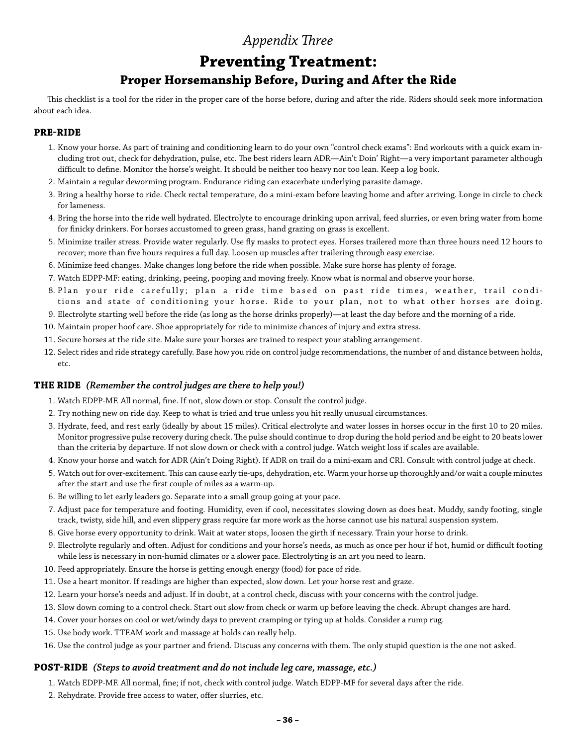### *Appendix Three*

### **Preventing Treatment: Proper Horsemanship Before, During and After the Ride**

This checklist is a tool for the rider in the proper care of the horse before, during and after the ride. Riders should seek more information about each idea.

### **PRE-RIDE**

- 1. Know your horse. As part of training and conditioning learn to do your own "control check exams": End workouts with a quick exam including trot out, check for dehydration, pulse, etc. The best riders learn ADR—Ain't Doin' Right—a very important parameter although difficult to define. Monitor the horse's weight. It should be neither too heavy nor too lean. Keep a log book.
- 2. Maintain a regular deworming program. Endurance riding can exacerbate underlying parasite damage.
- 3. Bring a healthy horse to ride. Check rectal temperature, do a mini-exam before leaving home and after arriving. Longe in circle to check for lameness.
- 4. Bring the horse into the ride well hydrated. Electrolyte to encourage drinking upon arrival, feed slurries, or even bring water from home for finicky drinkers. For horses accustomed to green grass, hand grazing on grass is excellent.
- 5. Minimize trailer stress. Provide water regularly. Use fly masks to protect eyes. Horses trailered more than three hours need 12 hours to recover; more than five hours requires a full day. Loosen up muscles after trailering through easy exercise.
- 6. Minimize feed changes. Make changes long before the ride when possible. Make sure horse has plenty of forage.
- 7. Watch EDPP-MF: eating, drinking, peeing, pooping and moving freely. Know what is normal and observe your horse.
- 8. Plan your ride carefully; plan a ride time based on past ride times, weather, trail conditions and state of conditioning your horse. Ride to your plan, not to what other horses are doing.
- 9. Electrolyte starting well before the ride (as long as the horse drinks properly)—at least the day before and the morning of a ride.
- 10. Maintain proper hoof care. Shoe appropriately for ride to minimize chances of injury and extra stress.
- 11. Secure horses at the ride site. Make sure your horses are trained to respect your stabling arrangement.
- 12. Select rides and ride strategy carefully. Base how you ride on control judge recommendations, the number of and distance between holds, etc.

### **THE RIDE** *(Remember the control judges are there to help you!)*

- 1. Watch EDPP-MF. All normal, fine. If not, slow down or stop. Consult the control judge.
- 2. Try nothing new on ride day. Keep to what is tried and true unless you hit really unusual circumstances.
- 3. Hydrate, feed, and rest early (ideally by about 15 miles). Critical electrolyte and water losses in horses occur in the first 10 to 20 miles. Monitor progressive pulse recovery during check. The pulse should continue to drop during the hold period and be eight to 20 beats lower than the criteria by departure. If not slow down or check with a control judge. Watch weight loss if scales are available.
- 4. Know your horse and watch for ADR (Ain't Doing Right). If ADR on trail do a mini-exam and CRI. Consult with control judge at check.
- 5. Watch out for over-excitement. This can cause early tie-ups, dehydration, etc. Warm your horse up thoroughly and/or wait a couple minutes after the start and use the first couple of miles as a warm-up.
- 6. Be willing to let early leaders go. Separate into a small group going at your pace.
- 7. Adjust pace for temperature and footing. Humidity, even if cool, necessitates slowing down as does heat. Muddy, sandy footing, single track, twisty, side hill, and even slippery grass require far more work as the horse cannot use his natural suspension system.
- 8. Give horse every opportunity to drink. Wait at water stops, loosen the girth if necessary. Train your horse to drink.
- 9. Electrolyte regularly and often. Adjust for conditions and your horse's needs, as much as once per hour if hot, humid or difficult footing while less is necessary in non-humid climates or a slower pace. Electrolyting is an art you need to learn.
- 10. Feed appropriately. Ensure the horse is getting enough energy (food) for pace of ride.
- 11. Use a heart monitor. If readings are higher than expected, slow down. Let your horse rest and graze.
- 12. Learn your horse's needs and adjust. If in doubt, at a control check, discuss with your concerns with the control judge.
- 13. Slow down coming to a control check. Start out slow from check or warm up before leaving the check. Abrupt changes are hard.
- 14. Cover your horses on cool or wet/windy days to prevent cramping or tying up at holds. Consider a rump rug.
- 15. Use body work. TTEAM work and massage at holds can really help.
- 16. Use the control judge as your partner and friend. Discuss any concerns with them. The only stupid question is the one not asked.

### **POST-RIDE** *(Steps to avoid treatment and do not include leg care, massage, etc.)*

- 1. Watch EDPP-MF. All normal, fine; if not, check with control judge. Watch EDPP-MF for several days after the ride.
- 2. Rehydrate. Provide free access to water, offer slurries, etc.